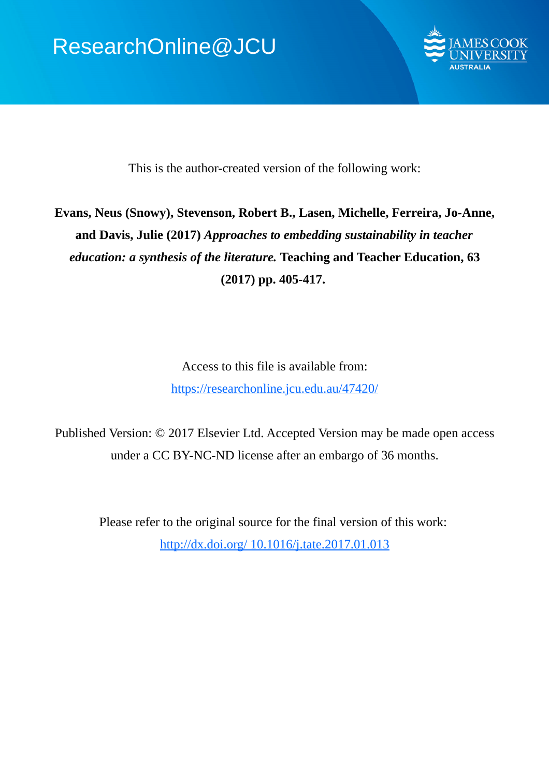

This is the author-created version of the following work:

# **Evans, Neus (Snowy), Stevenson, Robert B., Lasen, Michelle, Ferreira, Jo-Anne, and Davis, Julie (2017)** *Approaches to embedding sustainability in teacher education: a synthesis of the literature.* **Teaching and Teacher Education, 63 (2017) pp. 405-417.**

Access to this file is available from: https://researchonline.jcu.edu.au/47420/

Published Version: © 2017 Elsevier Ltd. Accepted Version may be made open access under a CC BY-NC-ND license after an embargo of 36 months.

Please refer to the original source for the final version of this work: http://dx.doi.org/ 10.1016/j.tate.2017.01.013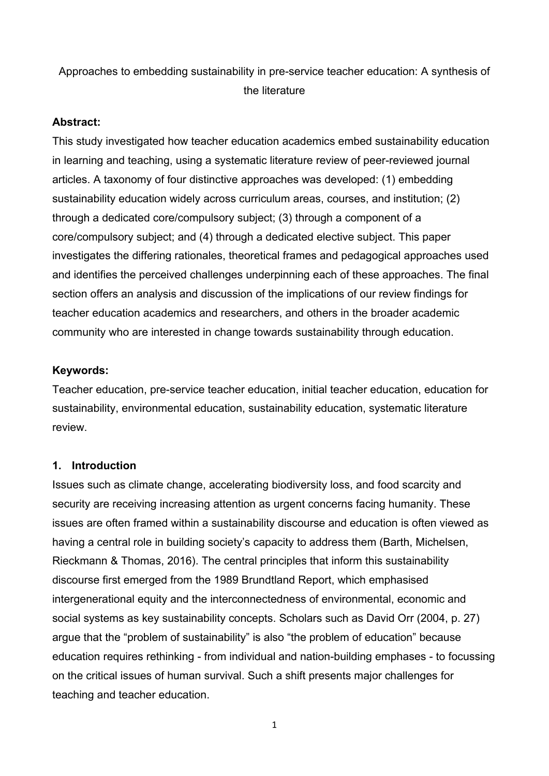# Approaches to embedding sustainability in pre-service teacher education: A synthesis of the literature

### **Abstract:**

This study investigated how teacher education academics embed sustainability education in learning and teaching, using a systematic literature review of peer-reviewed journal articles. A taxonomy of four distinctive approaches was developed: (1) embedding sustainability education widely across curriculum areas, courses, and institution; (2) through a dedicated core/compulsory subject; (3) through a component of a core/compulsory subject; and (4) through a dedicated elective subject. This paper investigates the differing rationales, theoretical frames and pedagogical approaches used and identifies the perceived challenges underpinning each of these approaches. The final section offers an analysis and discussion of the implications of our review findings for teacher education academics and researchers, and others in the broader academic community who are interested in change towards sustainability through education.

### **Keywords:**

Teacher education, pre-service teacher education, initial teacher education, education for sustainability, environmental education, sustainability education, systematic literature review.

## **1. Introduction**

Issues such as climate change, accelerating biodiversity loss, and food scarcity and security are receiving increasing attention as urgent concerns facing humanity. These issues are often framed within a sustainability discourse and education is often viewed as having a central role in building society's capacity to address them (Barth, Michelsen, Rieckmann & Thomas, 2016). The central principles that inform this sustainability discourse first emerged from the 1989 Brundtland Report, which emphasised intergenerational equity and the interconnectedness of environmental, economic and social systems as key sustainability concepts. Scholars such as David Orr (2004, p. 27) argue that the "problem of sustainability" is also "the problem of education" because education requires rethinking - from individual and nation-building emphases - to focussing on the critical issues of human survival. Such a shift presents major challenges for teaching and teacher education.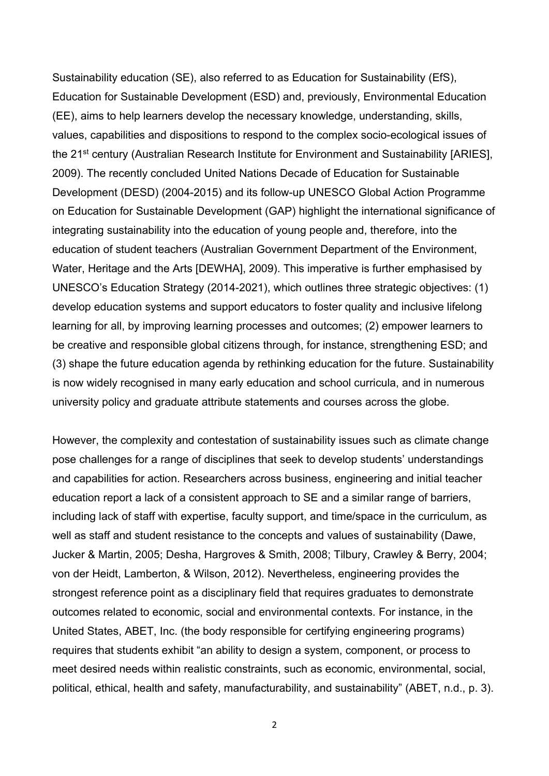Sustainability education (SE), also referred to as Education for Sustainability (EfS), Education for Sustainable Development (ESD) and, previously, Environmental Education (EE), aims to help learners develop the necessary knowledge, understanding, skills, values, capabilities and dispositions to respond to the complex socio-ecological issues of the 21<sup>st</sup> century (Australian Research Institute for Environment and Sustainability [ARIES], 2009). The recently concluded United Nations Decade of Education for Sustainable Development (DESD) (2004-2015) and its follow-up UNESCO Global Action Programme on Education for Sustainable Development (GAP) highlight the international significance of integrating sustainability into the education of young people and, therefore, into the education of student teachers (Australian Government Department of the Environment, Water, Heritage and the Arts [DEWHA], 2009). This imperative is further emphasised by UNESCO's Education Strategy (2014-2021), which outlines three strategic objectives: (1) develop education systems and support educators to foster quality and inclusive lifelong learning for all, by improving learning processes and outcomes; (2) empower learners to be creative and responsible global citizens through, for instance, strengthening ESD; and (3) shape the future education agenda by rethinking education for the future. Sustainability is now widely recognised in many early education and school curricula, and in numerous university policy and graduate attribute statements and courses across the globe.

However, the complexity and contestation of sustainability issues such as climate change pose challenges for a range of disciplines that seek to develop students' understandings and capabilities for action. Researchers across business, engineering and initial teacher education report a lack of a consistent approach to SE and a similar range of barriers, including lack of staff with expertise, faculty support, and time/space in the curriculum, as well as staff and student resistance to the concepts and values of sustainability (Dawe, Jucker & Martin, 2005; Desha, Hargroves & Smith, 2008; Tilbury, Crawley & Berry, 2004; von der Heidt, Lamberton, & Wilson, 2012). Nevertheless, engineering provides the strongest reference point as a disciplinary field that requires graduates to demonstrate outcomes related to economic, social and environmental contexts. For instance, in the United States, ABET, Inc. (the body responsible for certifying engineering programs) requires that students exhibit "an ability to design a system, component, or process to meet desired needs within realistic constraints, such as economic, environmental, social, political, ethical, health and safety, manufacturability, and sustainability" (ABET, n.d., p. 3).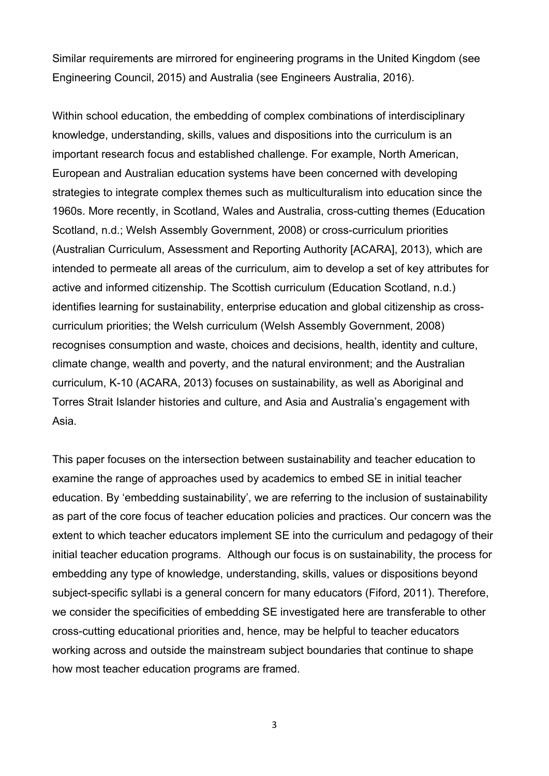Similar requirements are mirrored for engineering programs in the United Kingdom (see Engineering Council, 2015) and Australia (see Engineers Australia, 2016).

Within school education, the embedding of complex combinations of interdisciplinary knowledge, understanding, skills, values and dispositions into the curriculum is an important research focus and established challenge. For example, North American, European and Australian education systems have been concerned with developing strategies to integrate complex themes such as multiculturalism into education since the 1960s. More recently, in Scotland, Wales and Australia, cross-cutting themes (Education Scotland, n.d.; Welsh Assembly Government, 2008) or cross-curriculum priorities (Australian Curriculum, Assessment and Reporting Authority [ACARA], 2013), which are intended to permeate all areas of the curriculum, aim to develop a set of key attributes for active and informed citizenship. The Scottish curriculum (Education Scotland, n.d.) identifies learning for sustainability, enterprise education and global citizenship as crosscurriculum priorities; the Welsh curriculum (Welsh Assembly Government, 2008) recognises consumption and waste, choices and decisions, health, identity and culture, climate change, wealth and poverty, and the natural environment; and the Australian curriculum, K-10 (ACARA, 2013) focuses on sustainability, as well as Aboriginal and Torres Strait Islander histories and culture, and Asia and Australia's engagement with Asia.

This paper focuses on the intersection between sustainability and teacher education to examine the range of approaches used by academics to embed SE in initial teacher education. By 'embedding sustainability', we are referring to the inclusion of sustainability as part of the core focus of teacher education policies and practices. Our concern was the extent to which teacher educators implement SE into the curriculum and pedagogy of their initial teacher education programs. Although our focus is on sustainability, the process for embedding any type of knowledge, understanding, skills, values or dispositions beyond subject-specific syllabi is a general concern for many educators (Fiford, 2011). Therefore, we consider the specificities of embedding SE investigated here are transferable to other cross-cutting educational priorities and, hence, may be helpful to teacher educators working across and outside the mainstream subject boundaries that continue to shape how most teacher education programs are framed.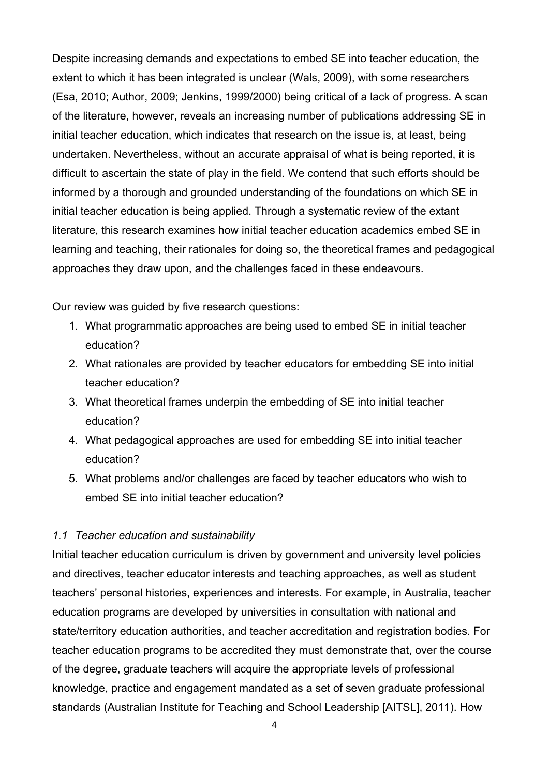Despite increasing demands and expectations to embed SE into teacher education, the extent to which it has been integrated is unclear (Wals, 2009), with some researchers (Esa, 2010; Author, 2009; Jenkins, 1999/2000) being critical of a lack of progress. A scan of the literature, however, reveals an increasing number of publications addressing SE in initial teacher education, which indicates that research on the issue is, at least, being undertaken. Nevertheless, without an accurate appraisal of what is being reported, it is difficult to ascertain the state of play in the field. We contend that such efforts should be informed by a thorough and grounded understanding of the foundations on which SE in initial teacher education is being applied. Through a systematic review of the extant literature, this research examines how initial teacher education academics embed SE in learning and teaching, their rationales for doing so, the theoretical frames and pedagogical approaches they draw upon, and the challenges faced in these endeavours.

Our review was guided by five research questions:

- 1. What programmatic approaches are being used to embed SE in initial teacher education?
- 2. What rationales are provided by teacher educators for embedding SE into initial teacher education?
- 3. What theoretical frames underpin the embedding of SE into initial teacher education?
- 4. What pedagogical approaches are used for embedding SE into initial teacher education?
- 5. What problems and/or challenges are faced by teacher educators who wish to embed SE into initial teacher education?

# *1.1 Teacher education and sustainability*

Initial teacher education curriculum is driven by government and university level policies and directives, teacher educator interests and teaching approaches, as well as student teachers' personal histories, experiences and interests. For example, in Australia, teacher education programs are developed by universities in consultation with national and state/territory education authorities, and teacher accreditation and registration bodies. For teacher education programs to be accredited they must demonstrate that, over the course of the degree, graduate teachers will acquire the appropriate levels of professional knowledge, practice and engagement mandated as a set of seven graduate professional standards (Australian Institute for Teaching and School Leadership [AITSL], 2011). How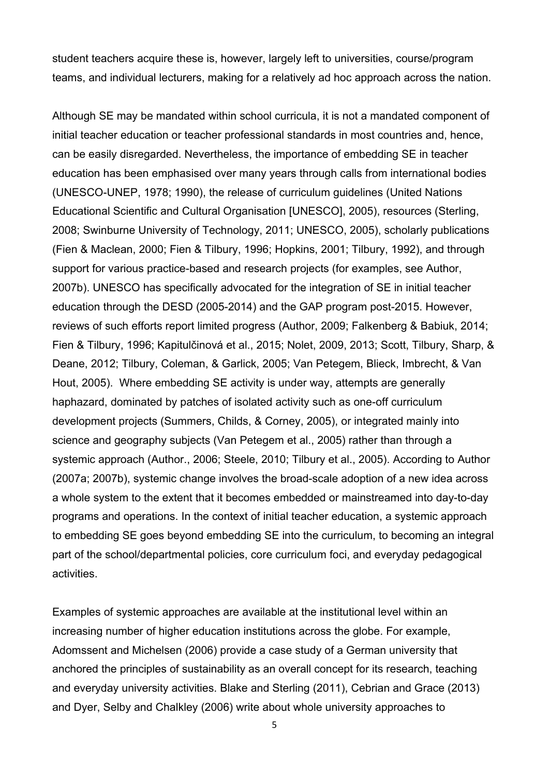student teachers acquire these is, however, largely left to universities, course/program teams, and individual lecturers, making for a relatively ad hoc approach across the nation.

Although SE may be mandated within school curricula, it is not a mandated component of initial teacher education or teacher professional standards in most countries and, hence, can be easily disregarded. Nevertheless, the importance of embedding SE in teacher education has been emphasised over many years through calls from international bodies (UNESCO-UNEP, 1978; 1990), the release of curriculum guidelines (United Nations Educational Scientific and Cultural Organisation [UNESCO], 2005), resources (Sterling, 2008; Swinburne University of Technology, 2011; UNESCO, 2005), scholarly publications (Fien & Maclean, 2000; Fien & Tilbury, 1996; Hopkins, 2001; Tilbury, 1992), and through support for various practice-based and research projects (for examples, see Author, 2007b). UNESCO has specifically advocated for the integration of SE in initial teacher education through the DESD (2005-2014) and the GAP program post-2015. However, reviews of such efforts report limited progress (Author, 2009; Falkenberg & Babiuk, 2014; Fien & Tilbury, 1996; Kapitulčinová et al., 2015; Nolet, 2009, 2013; Scott, Tilbury, Sharp, & Deane, 2012; Tilbury, Coleman, & Garlick, 2005; Van Petegem, Blieck, Imbrecht, & Van Hout, 2005). Where embedding SE activity is under way, attempts are generally haphazard, dominated by patches of isolated activity such as one-off curriculum development projects (Summers, Childs, & Corney, 2005), or integrated mainly into science and geography subjects (Van Petegem et al., 2005) rather than through a systemic approach (Author., 2006; Steele, 2010; Tilbury et al., 2005). According to Author (2007a; 2007b), systemic change involves the broad-scale adoption of a new idea across a whole system to the extent that it becomes embedded or mainstreamed into day-to-day programs and operations. In the context of initial teacher education, a systemic approach to embedding SE goes beyond embedding SE into the curriculum, to becoming an integral part of the school/departmental policies, core curriculum foci, and everyday pedagogical activities.

Examples of systemic approaches are available at the institutional level within an increasing number of higher education institutions across the globe. For example, Adomssent and Michelsen (2006) provide a case study of a German university that anchored the principles of sustainability as an overall concept for its research, teaching and everyday university activities. Blake and Sterling (2011), Cebrian and Grace (2013) and Dyer, Selby and Chalkley (2006) write about whole university approaches to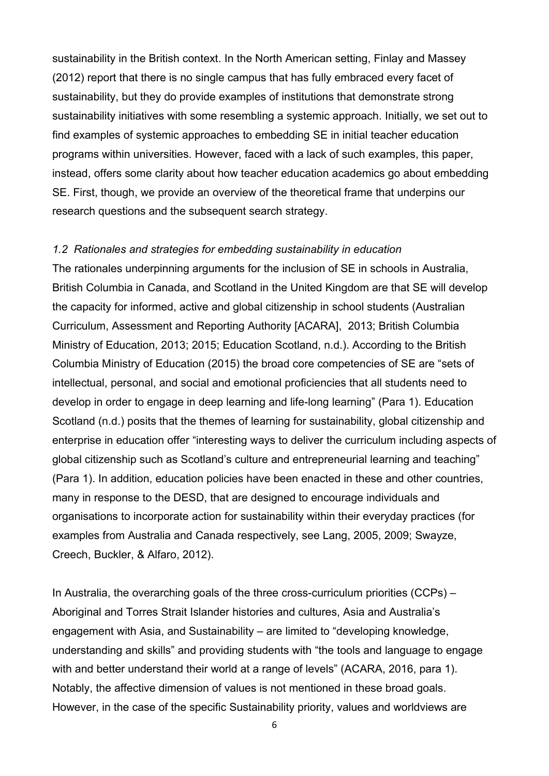sustainability in the British context. In the North American setting, Finlay and Massey (2012) report that there is no single campus that has fully embraced every facet of sustainability, but they do provide examples of institutions that demonstrate strong sustainability initiatives with some resembling a systemic approach. Initially, we set out to find examples of systemic approaches to embedding SE in initial teacher education programs within universities. However, faced with a lack of such examples, this paper, instead, offers some clarity about how teacher education academics go about embedding SE. First, though, we provide an overview of the theoretical frame that underpins our research questions and the subsequent search strategy.

#### *1.2 Rationales and strategies for embedding sustainability in education*

The rationales underpinning arguments for the inclusion of SE in schools in Australia, British Columbia in Canada, and Scotland in the United Kingdom are that SE will develop the capacity for informed, active and global citizenship in school students (Australian Curriculum, Assessment and Reporting Authority [ACARA], 2013; British Columbia Ministry of Education, 2013; 2015; Education Scotland, n.d.). According to the British Columbia Ministry of Education (2015) the broad core competencies of SE are "sets of intellectual, personal, and social and emotional proficiencies that all students need to develop in order to engage in deep learning and life-long learning" (Para 1). Education Scotland (n.d.) posits that the themes of learning for sustainability, global citizenship and enterprise in education offer "interesting ways to deliver the curriculum including aspects of global citizenship such as Scotland's culture and entrepreneurial learning and teaching" (Para 1). In addition, education policies have been enacted in these and other countries, many in response to the DESD, that are designed to encourage individuals and organisations to incorporate action for sustainability within their everyday practices (for examples from Australia and Canada respectively, see Lang, 2005, 2009; Swayze, Creech, Buckler, & Alfaro, 2012).

In Australia, the overarching goals of the three cross-curriculum priorities (CCPs) – Aboriginal and Torres Strait Islander histories and cultures, Asia and Australia's engagement with Asia, and Sustainability – are limited to "developing knowledge, understanding and skills" and providing students with "the tools and language to engage with and better understand their world at a range of levels" (ACARA, 2016, para 1). Notably, the affective dimension of values is not mentioned in these broad goals. However, in the case of the specific Sustainability priority, values and worldviews are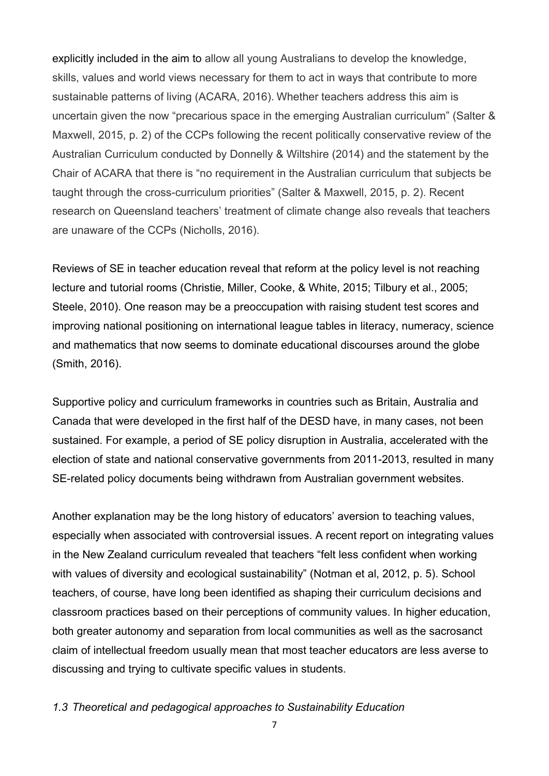explicitly included in the aim to allow all young Australians to develop the knowledge, skills, values and world views necessary for them to act in ways that contribute to more sustainable patterns of living (ACARA, 2016). Whether teachers address this aim is uncertain given the now "precarious space in the emerging Australian curriculum" (Salter & Maxwell, 2015, p. 2) of the CCPs following the recent politically conservative review of the Australian Curriculum conducted by Donnelly & Wiltshire (2014) and the statement by the Chair of ACARA that there is "no requirement in the Australian curriculum that subjects be taught through the cross-curriculum priorities" (Salter & Maxwell, 2015, p. 2). Recent research on Queensland teachers' treatment of climate change also reveals that teachers are unaware of the CCPs (Nicholls, 2016).

Reviews of SE in teacher education reveal that reform at the policy level is not reaching lecture and tutorial rooms (Christie, Miller, Cooke, & White, 2015; Tilbury et al., 2005; Steele, 2010). One reason may be a preoccupation with raising student test scores and improving national positioning on international league tables in literacy, numeracy, science and mathematics that now seems to dominate educational discourses around the globe (Smith, 2016).

Supportive policy and curriculum frameworks in countries such as Britain, Australia and Canada that were developed in the first half of the DESD have, in many cases, not been sustained. For example, a period of SE policy disruption in Australia, accelerated with the election of state and national conservative governments from 2011-2013, resulted in many SE-related policy documents being withdrawn from Australian government websites.

Another explanation may be the long history of educators' aversion to teaching values, especially when associated with controversial issues. A recent report on integrating values in the New Zealand curriculum revealed that teachers "felt less confident when working with values of diversity and ecological sustainability" (Notman et al, 2012, p. 5). School teachers, of course, have long been identified as shaping their curriculum decisions and classroom practices based on their perceptions of community values. In higher education, both greater autonomy and separation from local communities as well as the sacrosanct claim of intellectual freedom usually mean that most teacher educators are less averse to discussing and trying to cultivate specific values in students.

### *1.3 Theoretical and pedagogical approaches to Sustainability Education*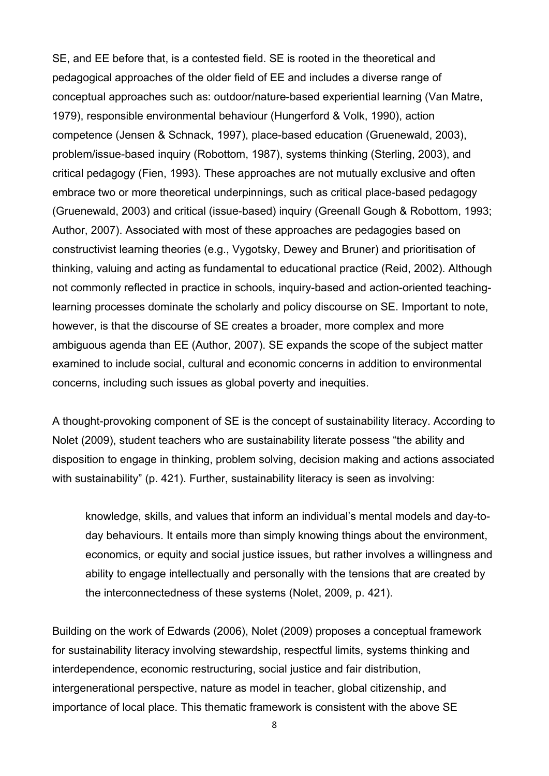SE, and EE before that, is a contested field. SE is rooted in the theoretical and pedagogical approaches of the older field of EE and includes a diverse range of conceptual approaches such as: outdoor/nature-based experiential learning (Van Matre, 1979), responsible environmental behaviour (Hungerford & Volk, 1990), action competence (Jensen & Schnack, 1997), place-based education (Gruenewald, 2003), problem/issue-based inquiry (Robottom, 1987), systems thinking (Sterling, 2003), and critical pedagogy (Fien, 1993). These approaches are not mutually exclusive and often embrace two or more theoretical underpinnings, such as critical place-based pedagogy (Gruenewald, 2003) and critical (issue-based) inquiry (Greenall Gough & Robottom, 1993; Author, 2007). Associated with most of these approaches are pedagogies based on constructivist learning theories (e.g., Vygotsky, Dewey and Bruner) and prioritisation of thinking, valuing and acting as fundamental to educational practice (Reid, 2002). Although not commonly reflected in practice in schools, inquiry-based and action-oriented teachinglearning processes dominate the scholarly and policy discourse on SE. Important to note, however, is that the discourse of SE creates a broader, more complex and more ambiguous agenda than EE (Author, 2007). SE expands the scope of the subject matter examined to include social, cultural and economic concerns in addition to environmental concerns, including such issues as global poverty and inequities.

A thought-provoking component of SE is the concept of sustainability literacy. According to Nolet (2009), student teachers who are sustainability literate possess "the ability and disposition to engage in thinking, problem solving, decision making and actions associated with sustainability" (p. 421). Further, sustainability literacy is seen as involving:

knowledge, skills, and values that inform an individual's mental models and day-today behaviours. It entails more than simply knowing things about the environment, economics, or equity and social justice issues, but rather involves a willingness and ability to engage intellectually and personally with the tensions that are created by the interconnectedness of these systems (Nolet, 2009, p. 421).

Building on the work of Edwards (2006), Nolet (2009) proposes a conceptual framework for sustainability literacy involving stewardship, respectful limits, systems thinking and interdependence, economic restructuring, social justice and fair distribution, intergenerational perspective, nature as model in teacher, global citizenship, and importance of local place. This thematic framework is consistent with the above SE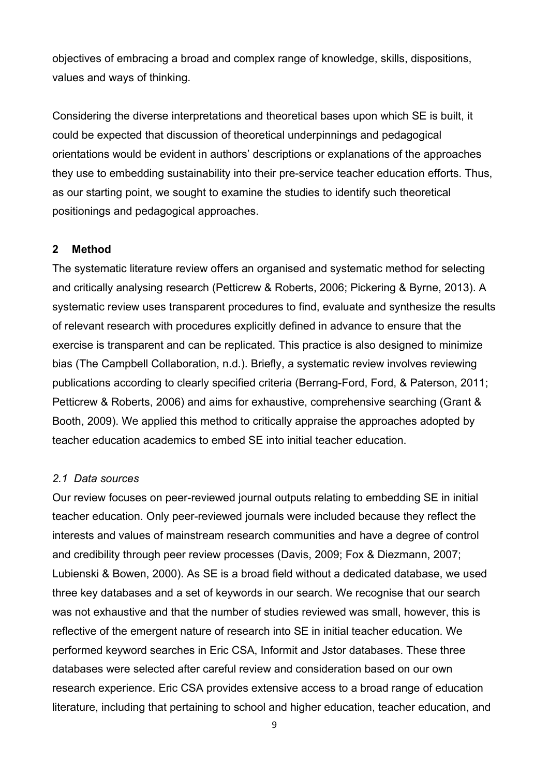objectives of embracing a broad and complex range of knowledge, skills, dispositions, values and ways of thinking.

Considering the diverse interpretations and theoretical bases upon which SE is built, it could be expected that discussion of theoretical underpinnings and pedagogical orientations would be evident in authors' descriptions or explanations of the approaches they use to embedding sustainability into their pre-service teacher education efforts. Thus, as our starting point, we sought to examine the studies to identify such theoretical positionings and pedagogical approaches.

# **2 Method**

The systematic literature review offers an organised and systematic method for selecting and critically analysing research (Petticrew & Roberts, 2006; Pickering & Byrne, 2013). A systematic review uses transparent procedures to find, evaluate and synthesize the results of relevant research with procedures explicitly defined in advance to ensure that the exercise is transparent and can be replicated. This practice is also designed to minimize bias (The Campbell Collaboration, n.d.). Briefly, a systematic review involves reviewing publications according to clearly specified criteria (Berrang-Ford, Ford, & Paterson, 2011; Petticrew & Roberts, 2006) and aims for exhaustive, comprehensive searching (Grant & Booth, 2009). We applied this method to critically appraise the approaches adopted by teacher education academics to embed SE into initial teacher education.

## *2.1 Data sources*

Our review focuses on peer-reviewed journal outputs relating to embedding SE in initial teacher education. Only peer-reviewed journals were included because they reflect the interests and values of mainstream research communities and have a degree of control and credibility through peer review processes (Davis, 2009; Fox & Diezmann, 2007; Lubienski & Bowen, 2000). As SE is a broad field without a dedicated database, we used three key databases and a set of keywords in our search. We recognise that our search was not exhaustive and that the number of studies reviewed was small, however, this is reflective of the emergent nature of research into SE in initial teacher education. We performed keyword searches in Eric CSA, Informit and Jstor databases. These three databases were selected after careful review and consideration based on our own research experience. Eric CSA provides extensive access to a broad range of education literature, including that pertaining to school and higher education, teacher education, and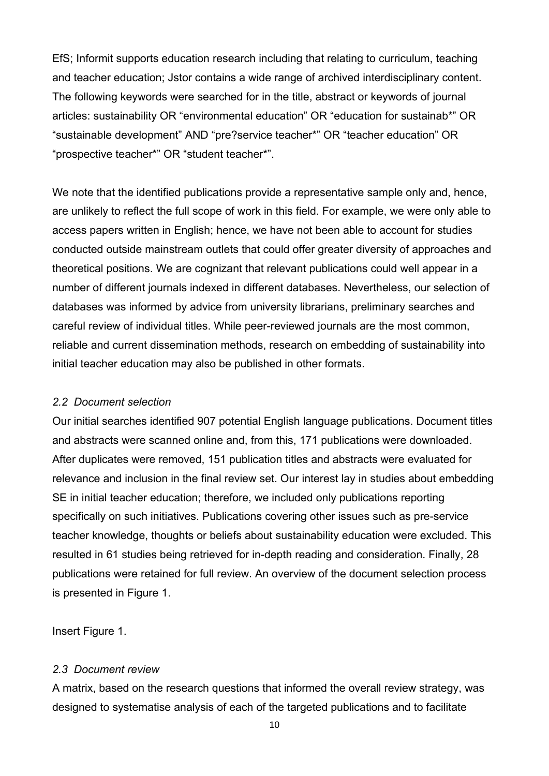EfS; Informit supports education research including that relating to curriculum, teaching and teacher education; Jstor contains a wide range of archived interdisciplinary content. The following keywords were searched for in the title, abstract or keywords of journal articles: sustainability OR "environmental education" OR "education for sustainab\*" OR "sustainable development" AND "pre?service teacher\*" OR "teacher education" OR "prospective teacher\*" OR "student teacher\*".

We note that the identified publications provide a representative sample only and, hence, are unlikely to reflect the full scope of work in this field. For example, we were only able to access papers written in English; hence, we have not been able to account for studies conducted outside mainstream outlets that could offer greater diversity of approaches and theoretical positions. We are cognizant that relevant publications could well appear in a number of different journals indexed in different databases. Nevertheless, our selection of databases was informed by advice from university librarians, preliminary searches and careful review of individual titles. While peer-reviewed journals are the most common, reliable and current dissemination methods, research on embedding of sustainability into initial teacher education may also be published in other formats.

#### *2.2 Document selection*

Our initial searches identified 907 potential English language publications. Document titles and abstracts were scanned online and, from this, 171 publications were downloaded. After duplicates were removed, 151 publication titles and abstracts were evaluated for relevance and inclusion in the final review set. Our interest lay in studies about embedding SE in initial teacher education; therefore, we included only publications reporting specifically on such initiatives. Publications covering other issues such as pre-service teacher knowledge, thoughts or beliefs about sustainability education were excluded. This resulted in 61 studies being retrieved for in-depth reading and consideration. Finally, 28 publications were retained for full review. An overview of the document selection process is presented in Figure 1.

Insert Figure 1.

## *2.3 Document review*

A matrix, based on the research questions that informed the overall review strategy, was designed to systematise analysis of each of the targeted publications and to facilitate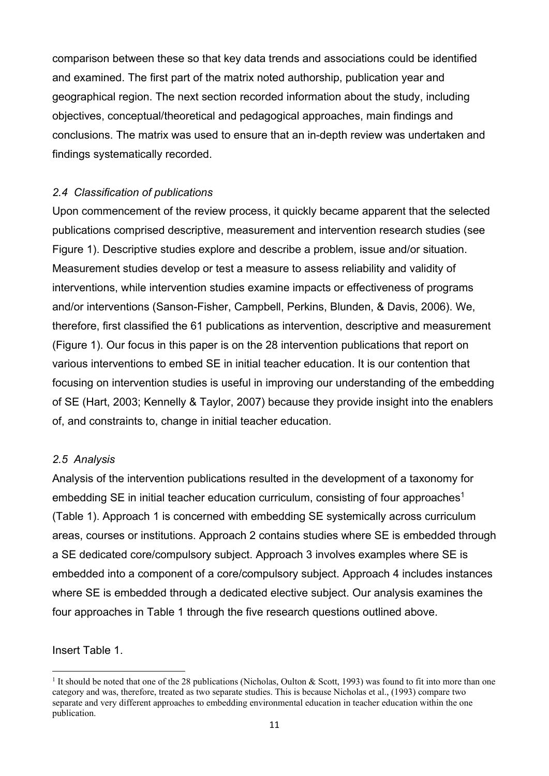comparison between these so that key data trends and associations could be identified and examined. The first part of the matrix noted authorship, publication year and geographical region. The next section recorded information about the study, including objectives, conceptual/theoretical and pedagogical approaches, main findings and conclusions. The matrix was used to ensure that an in-depth review was undertaken and findings systematically recorded.

# *2.4 Classification of publications*

Upon commencement of the review process, it quickly became apparent that the selected publications comprised descriptive, measurement and intervention research studies (see Figure 1). Descriptive studies explore and describe a problem, issue and/or situation. Measurement studies develop or test a measure to assess reliability and validity of interventions, while intervention studies examine impacts or effectiveness of programs and/or interventions (Sanson-Fisher, Campbell, Perkins, Blunden, & Davis, 2006). We, therefore, first classified the 61 publications as intervention, descriptive and measurement (Figure 1). Our focus in this paper is on the 28 intervention publications that report on various interventions to embed SE in initial teacher education. It is our contention that focusing on intervention studies is useful in improving our understanding of the embedding of SE (Hart, 2003; Kennelly & Taylor, 2007) because they provide insight into the enablers of, and constraints to, change in initial teacher education.

# *2.5 Analysis*

Analysis of the intervention publications resulted in the development of a taxonomy for embedding SE in initial teacher education curriculum, consisting of four approaches<sup>1</sup> (Table 1). Approach 1 is concerned with embedding SE systemically across curriculum areas, courses or institutions. Approach 2 contains studies where SE is embedded through a SE dedicated core/compulsory subject. Approach 3 involves examples where SE is embedded into a component of a core/compulsory subject. Approach 4 includes instances where SE is embedded through a dedicated elective subject. Our analysis examines the four approaches in Table 1 through the five research questions outlined above.

Insert Table 1.

l

<sup>&</sup>lt;sup>1</sup> It should be noted that one of the 28 publications (Nicholas, Oulton & Scott, 1993) was found to fit into more than one category and was, therefore, treated as two separate studies. This is because Nicholas et al., (1993) compare two separate and very different approaches to embedding environmental education in teacher education within the one publication.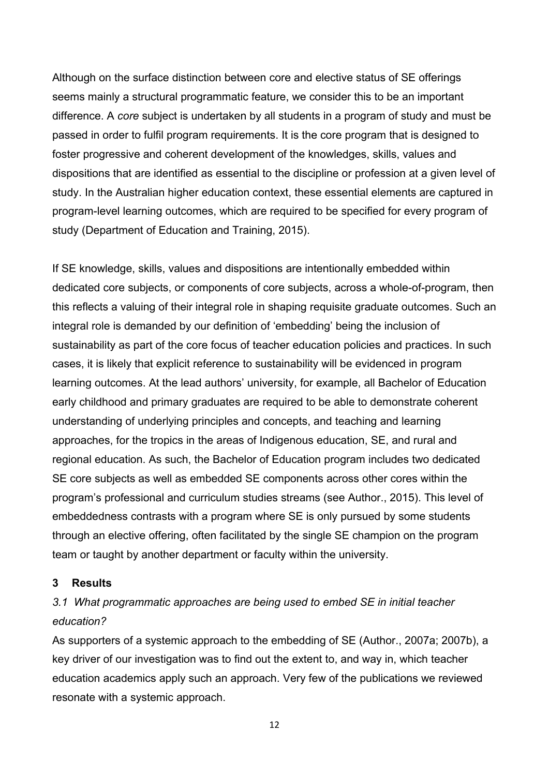Although on the surface distinction between core and elective status of SE offerings seems mainly a structural programmatic feature, we consider this to be an important difference. A *core* subject is undertaken by all students in a program of study and must be passed in order to fulfil program requirements. It is the core program that is designed to foster progressive and coherent development of the knowledges, skills, values and dispositions that are identified as essential to the discipline or profession at a given level of study. In the Australian higher education context, these essential elements are captured in program-level learning outcomes, which are required to be specified for every program of study (Department of Education and Training, 2015).

If SE knowledge, skills, values and dispositions are intentionally embedded within dedicated core subjects, or components of core subjects, across a whole-of-program, then this reflects a valuing of their integral role in shaping requisite graduate outcomes. Such an integral role is demanded by our definition of 'embedding' being the inclusion of sustainability as part of the core focus of teacher education policies and practices. In such cases, it is likely that explicit reference to sustainability will be evidenced in program learning outcomes. At the lead authors' university, for example, all Bachelor of Education early childhood and primary graduates are required to be able to demonstrate coherent understanding of underlying principles and concepts, and teaching and learning approaches, for the tropics in the areas of Indigenous education, SE, and rural and regional education. As such, the Bachelor of Education program includes two dedicated SE core subjects as well as embedded SE components across other cores within the program's professional and curriculum studies streams (see Author., 2015). This level of embeddedness contrasts with a program where SE is only pursued by some students through an elective offering, often facilitated by the single SE champion on the program team or taught by another department or faculty within the university.

#### **3 Results**

# *3.1 What programmatic approaches are being used to embed SE in initial teacher education?*

As supporters of a systemic approach to the embedding of SE (Author., 2007a; 2007b), a key driver of our investigation was to find out the extent to, and way in, which teacher education academics apply such an approach. Very few of the publications we reviewed resonate with a systemic approach.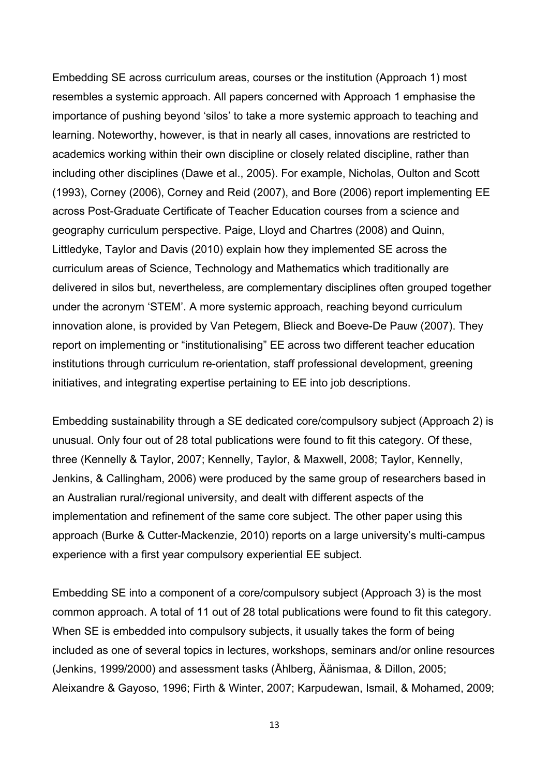Embedding SE across curriculum areas, courses or the institution (Approach 1) most resembles a systemic approach. All papers concerned with Approach 1 emphasise the importance of pushing beyond 'silos' to take a more systemic approach to teaching and learning. Noteworthy, however, is that in nearly all cases, innovations are restricted to academics working within their own discipline or closely related discipline, rather than including other disciplines (Dawe et al., 2005). For example, Nicholas, Oulton and Scott (1993), Corney (2006), Corney and Reid (2007), and Bore (2006) report implementing EE across Post-Graduate Certificate of Teacher Education courses from a science and geography curriculum perspective. Paige, Lloyd and Chartres (2008) and Quinn, Littledyke, Taylor and Davis (2010) explain how they implemented SE across the curriculum areas of Science, Technology and Mathematics which traditionally are delivered in silos but, nevertheless, are complementary disciplines often grouped together under the acronym 'STEM'. A more systemic approach, reaching beyond curriculum innovation alone, is provided by Van Petegem, Blieck and Boeve-De Pauw (2007). They report on implementing or "institutionalising" EE across two different teacher education institutions through curriculum re-orientation, staff professional development, greening initiatives, and integrating expertise pertaining to EE into job descriptions.

Embedding sustainability through a SE dedicated core/compulsory subject (Approach 2) is unusual. Only four out of 28 total publications were found to fit this category. Of these, three (Kennelly & Taylor, 2007; Kennelly, Taylor, & Maxwell, 2008; Taylor, Kennelly, Jenkins, & Callingham, 2006) were produced by the same group of researchers based in an Australian rural/regional university, and dealt with different aspects of the implementation and refinement of the same core subject. The other paper using this approach (Burke & Cutter-Mackenzie, 2010) reports on a large university's multi-campus experience with a first year compulsory experiential EE subject.

Embedding SE into a component of a core/compulsory subject (Approach 3) is the most common approach. A total of 11 out of 28 total publications were found to fit this category. When SE is embedded into compulsory subjects, it usually takes the form of being included as one of several topics in lectures, workshops, seminars and/or online resources (Jenkins, 1999/2000) and assessment tasks (Åhlberg, Äänismaa, & Dillon, 2005; Aleixandre & Gayoso, 1996; Firth & Winter, 2007; Karpudewan, Ismail, & Mohamed, 2009;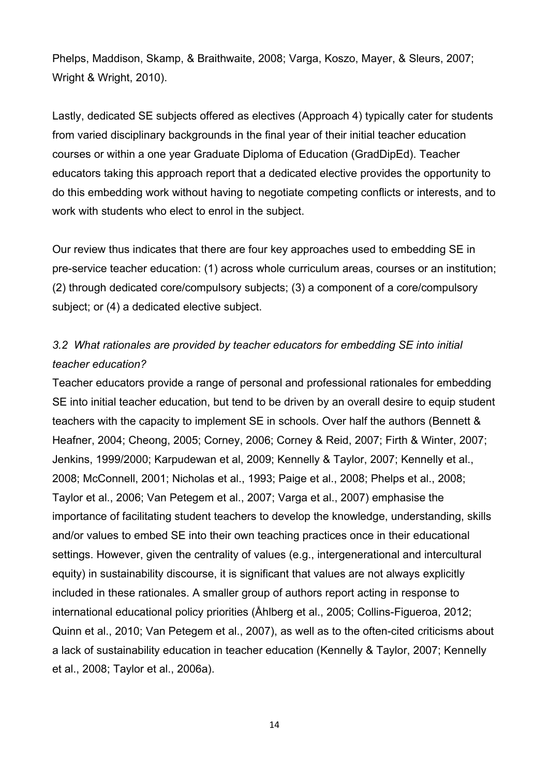Phelps, Maddison, Skamp, & Braithwaite, 2008; Varga, Koszo, Mayer, & Sleurs, 2007; Wright & Wright, 2010).

Lastly, dedicated SE subjects offered as electives (Approach 4) typically cater for students from varied disciplinary backgrounds in the final year of their initial teacher education courses or within a one year Graduate Diploma of Education (GradDipEd). Teacher educators taking this approach report that a dedicated elective provides the opportunity to do this embedding work without having to negotiate competing conflicts or interests, and to work with students who elect to enrol in the subject.

Our review thus indicates that there are four key approaches used to embedding SE in pre-service teacher education: (1) across whole curriculum areas, courses or an institution; (2) through dedicated core/compulsory subjects; (3) a component of a core/compulsory subject; or (4) a dedicated elective subject.

# *3.2 What rationales are provided by teacher educators for embedding SE into initial teacher education?*

Teacher educators provide a range of personal and professional rationales for embedding SE into initial teacher education, but tend to be driven by an overall desire to equip student teachers with the capacity to implement SE in schools. Over half the authors (Bennett & Heafner, 2004; Cheong, 2005; Corney, 2006; Corney & Reid, 2007; Firth & Winter, 2007; Jenkins, 1999/2000; Karpudewan et al, 2009; Kennelly & Taylor, 2007; Kennelly et al., 2008; McConnell, 2001; Nicholas et al., 1993; Paige et al., 2008; Phelps et al., 2008; Taylor et al., 2006; Van Petegem et al., 2007; Varga et al., 2007) emphasise the importance of facilitating student teachers to develop the knowledge, understanding, skills and/or values to embed SE into their own teaching practices once in their educational settings. However, given the centrality of values (e.g., intergenerational and intercultural equity) in sustainability discourse, it is significant that values are not always explicitly included in these rationales. A smaller group of authors report acting in response to international educational policy priorities (Åhlberg et al., 2005; Collins-Figueroa, 2012; Quinn et al., 2010; Van Petegem et al., 2007), as well as to the often-cited criticisms about a lack of sustainability education in teacher education (Kennelly & Taylor, 2007; Kennelly et al., 2008; Taylor et al., 2006a).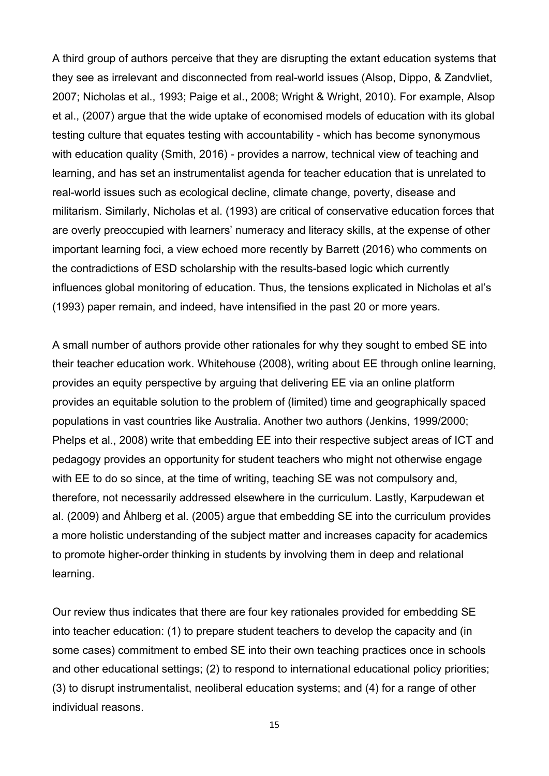A third group of authors perceive that they are disrupting the extant education systems that they see as irrelevant and disconnected from real-world issues (Alsop, Dippo, & Zandvliet, 2007; Nicholas et al., 1993; Paige et al., 2008; Wright & Wright, 2010). For example, Alsop et al., (2007) argue that the wide uptake of economised models of education with its global testing culture that equates testing with accountability - which has become synonymous with education quality (Smith, 2016) - provides a narrow, technical view of teaching and learning, and has set an instrumentalist agenda for teacher education that is unrelated to real-world issues such as ecological decline, climate change, poverty, disease and militarism. Similarly, Nicholas et al. (1993) are critical of conservative education forces that are overly preoccupied with learners' numeracy and literacy skills, at the expense of other important learning foci, a view echoed more recently by Barrett (2016) who comments on the contradictions of ESD scholarship with the results-based logic which currently influences global monitoring of education. Thus, the tensions explicated in Nicholas et al's (1993) paper remain, and indeed, have intensified in the past 20 or more years.

A small number of authors provide other rationales for why they sought to embed SE into their teacher education work. Whitehouse (2008), writing about EE through online learning, provides an equity perspective by arguing that delivering EE via an online platform provides an equitable solution to the problem of (limited) time and geographically spaced populations in vast countries like Australia. Another two authors (Jenkins, 1999/2000; Phelps et al., 2008) write that embedding EE into their respective subject areas of ICT and pedagogy provides an opportunity for student teachers who might not otherwise engage with EE to do so since, at the time of writing, teaching SE was not compulsory and, therefore, not necessarily addressed elsewhere in the curriculum. Lastly, Karpudewan et al. (2009) and Åhlberg et al. (2005) argue that embedding SE into the curriculum provides a more holistic understanding of the subject matter and increases capacity for academics to promote higher-order thinking in students by involving them in deep and relational learning.

Our review thus indicates that there are four key rationales provided for embedding SE into teacher education: (1) to prepare student teachers to develop the capacity and (in some cases) commitment to embed SE into their own teaching practices once in schools and other educational settings; (2) to respond to international educational policy priorities; (3) to disrupt instrumentalist, neoliberal education systems; and (4) for a range of other individual reasons.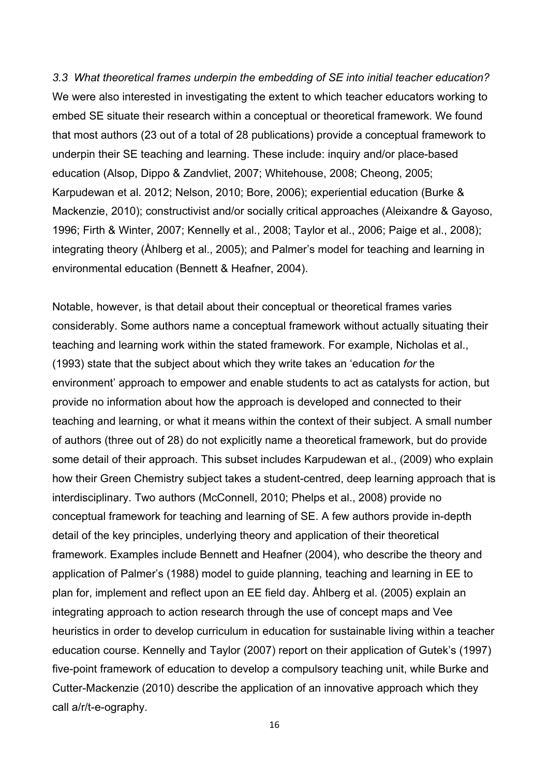*3.3 What theoretical frames underpin the embedding of SE into initial teacher education?*  We were also interested in investigating the extent to which teacher educators working to embed SE situate their research within a conceptual or theoretical framework. We found that most authors (23 out of a total of 28 publications) provide a conceptual framework to underpin their SE teaching and learning. These include: inquiry and/or place-based education (Alsop, Dippo & Zandvliet, 2007; Whitehouse, 2008; Cheong, 2005; Karpudewan et al. 2012; Nelson, 2010; Bore, 2006); experiential education (Burke & Mackenzie, 2010); constructivist and/or socially critical approaches (Aleixandre & Gayoso, 1996; Firth & Winter, 2007; Kennelly et al., 2008; Taylor et al., 2006; Paige et al., 2008); integrating theory (Åhlberg et al., 2005); and Palmer's model for teaching and learning in environmental education (Bennett & Heafner, 2004).

Notable, however, is that detail about their conceptual or theoretical frames varies considerably. Some authors name a conceptual framework without actually situating their teaching and learning work within the stated framework. For example, Nicholas et al., (1993) state that the subject about which they write takes an 'education *for* the environment' approach to empower and enable students to act as catalysts for action, but provide no information about how the approach is developed and connected to their teaching and learning, or what it means within the context of their subject. A small number of authors (three out of 28) do not explicitly name a theoretical framework, but do provide some detail of their approach. This subset includes Karpudewan et al., (2009) who explain how their Green Chemistry subject takes a student-centred, deep learning approach that is interdisciplinary. Two authors (McConnell, 2010; Phelps et al., 2008) provide no conceptual framework for teaching and learning of SE. A few authors provide in-depth detail of the key principles, underlying theory and application of their theoretical framework. Examples include Bennett and Heafner (2004), who describe the theory and application of Palmer's (1988) model to guide planning, teaching and learning in EE to plan for, implement and reflect upon an EE field day. Åhlberg et al. (2005) explain an integrating approach to action research through the use of concept maps and Vee heuristics in order to develop curriculum in education for sustainable living within a teacher education course. Kennelly and Taylor (2007) report on their application of Gutek's (1997) five-point framework of education to develop a compulsory teaching unit, while Burke and Cutter-Mackenzie (2010) describe the application of an innovative approach which they call a/r/t-e-ography.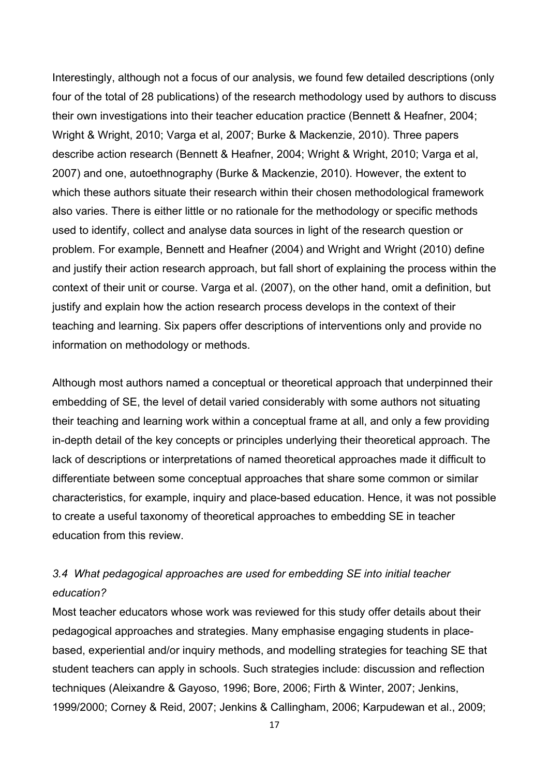Interestingly, although not a focus of our analysis, we found few detailed descriptions (only four of the total of 28 publications) of the research methodology used by authors to discuss their own investigations into their teacher education practice (Bennett & Heafner, 2004; Wright & Wright, 2010; Varga et al, 2007; Burke & Mackenzie, 2010). Three papers describe action research (Bennett & Heafner, 2004; Wright & Wright, 2010; Varga et al, 2007) and one, autoethnography (Burke & Mackenzie, 2010). However, the extent to which these authors situate their research within their chosen methodological framework also varies. There is either little or no rationale for the methodology or specific methods used to identify, collect and analyse data sources in light of the research question or problem. For example, Bennett and Heafner (2004) and Wright and Wright (2010) define and justify their action research approach, but fall short of explaining the process within the context of their unit or course. Varga et al. (2007), on the other hand, omit a definition, but justify and explain how the action research process develops in the context of their teaching and learning. Six papers offer descriptions of interventions only and provide no information on methodology or methods.

Although most authors named a conceptual or theoretical approach that underpinned their embedding of SE, the level of detail varied considerably with some authors not situating their teaching and learning work within a conceptual frame at all, and only a few providing in-depth detail of the key concepts or principles underlying their theoretical approach. The lack of descriptions or interpretations of named theoretical approaches made it difficult to differentiate between some conceptual approaches that share some common or similar characteristics, for example, inquiry and place-based education. Hence, it was not possible to create a useful taxonomy of theoretical approaches to embedding SE in teacher education from this review.

# *3.4 What pedagogical approaches are used for embedding SE into initial teacher education?*

Most teacher educators whose work was reviewed for this study offer details about their pedagogical approaches and strategies. Many emphasise engaging students in placebased, experiential and/or inquiry methods, and modelling strategies for teaching SE that student teachers can apply in schools. Such strategies include: discussion and reflection techniques (Aleixandre & Gayoso, 1996; Bore, 2006; Firth & Winter, 2007; Jenkins, 1999/2000; Corney & Reid, 2007; Jenkins & Callingham, 2006; Karpudewan et al., 2009;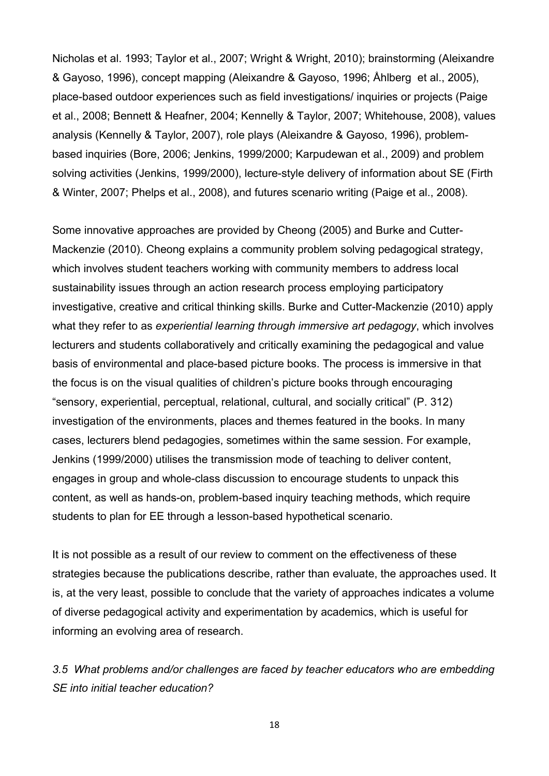Nicholas et al. 1993; Taylor et al., 2007; Wright & Wright, 2010); brainstorming (Aleixandre & Gayoso, 1996), concept mapping (Aleixandre & Gayoso, 1996; Åhlberg et al., 2005), place-based outdoor experiences such as field investigations/ inquiries or projects [\(Paige](#page-30-0)  [et al., 2008;](#page-30-0) Bennett & Heafner, 2004; Kennelly & Taylor, 2007; Whitehouse, 2008), values analysis (Kennelly & Taylor, 2007), role plays (Aleixandre & Gayoso, 1996), problembased inquiries (Bore, 2006; Jenkins, 1999/2000; Karpudewan et al., 2009) and problem solving activities (Jenkins, 1999/2000), lecture-style delivery of information about SE (Firth & Winter, 2007; Phelps et al., 2008), and futures scenario writing (Paige et al., 2008).

Some innovative approaches are provided by Cheong (2005) and Burke and Cutter-Mackenzie (2010). Cheong explains a community problem solving pedagogical strategy, which involves student teachers working with community members to address local sustainability issues through an action research process employing participatory investigative, creative and critical thinking skills. Burke and Cutter-Mackenzie (2010) apply what they refer to as *experiential learning through immersive art pedagogy*, which involves lecturers and students collaboratively and critically examining the pedagogical and value basis of environmental and place-based picture books. The process is immersive in that the focus is on the visual qualities of children's picture books through encouraging "sensory, experiential, perceptual, relational, cultural, and socially critical" (P. 312) investigation of the environments, places and themes featured in the books. In many cases, lecturers blend pedagogies, sometimes within the same session. For example, Jenkins (1999/2000) utilises the transmission mode of teaching to deliver content, engages in group and whole-class discussion to encourage students to unpack this content, as well as hands-on, problem-based inquiry teaching methods, which require students to plan for EE through a lesson-based hypothetical scenario.

It is not possible as a result of our review to comment on the effectiveness of these strategies because the publications describe, rather than evaluate, the approaches used. It is, at the very least, possible to conclude that the variety of approaches indicates a volume of diverse pedagogical activity and experimentation by academics, which is useful for informing an evolving area of research.

*3.5 What problems and/or challenges are faced by teacher educators who are embedding SE into initial teacher education?*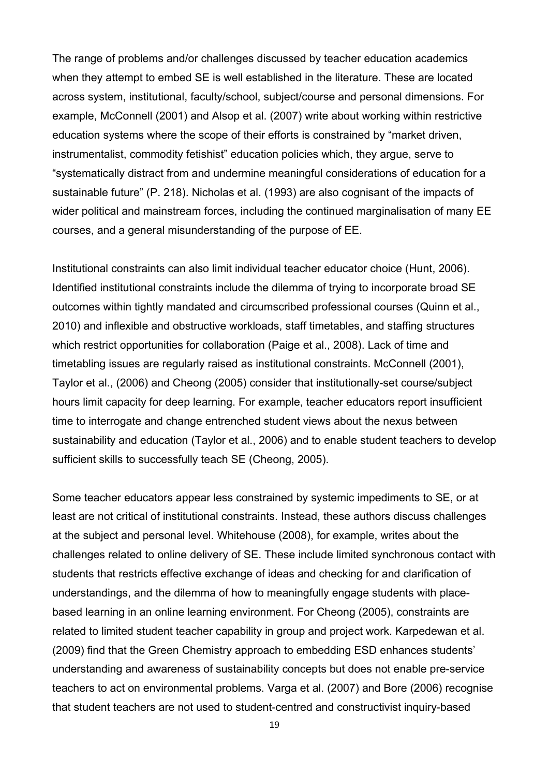The range of problems and/or challenges discussed by teacher education academics when they attempt to embed SE is well established in the literature. These are located across system, institutional, faculty/school, subject/course and personal dimensions. For example, McConnell (2001) and Alsop et al. (2007) write about working within restrictive education systems where the scope of their efforts is constrained by "market driven, instrumentalist, commodity fetishist" education policies which, they argue, serve to "systematically distract from and undermine meaningful considerations of education for a sustainable future" (P. 218). Nicholas et al. (1993) are also cognisant of the impacts of wider political and mainstream forces, including the continued marginalisation of many EE courses, and a general misunderstanding of the purpose of EE.

Institutional constraints can also limit individual teacher educator choice (Hunt, 2006). Identified institutional constraints include the dilemma of trying to incorporate broad SE outcomes within tightly mandated and circumscribed professional courses (Quinn et al., 2010) and inflexible and obstructive workloads, staff timetables, and staffing structures which restrict opportunities for collaboration (Paige et al., 2008). Lack of time and timetabling issues are regularly raised as institutional constraints. McConnell (2001), Taylor et al., (2006) and Cheong (2005) consider that institutionally-set course/subject hours limit capacity for deep learning. For example, teacher educators report insufficient time to interrogate and change entrenched student views about the nexus between sustainability and education (Taylor et al., 2006) and to enable student teachers to develop sufficient skills to successfully teach SE (Cheong, 2005).

Some teacher educators appear less constrained by systemic impediments to SE, or at least are not critical of institutional constraints. Instead, these authors discuss challenges at the subject and personal level. Whitehouse (2008), for example, writes about the challenges related to online delivery of SE. These include limited synchronous contact with students that restricts effective exchange of ideas and checking for and clarification of understandings, and the dilemma of how to meaningfully engage students with placebased learning in an online learning environment. For Cheong (2005), constraints are related to limited student teacher capability in group and project work. Karpedewan et al. (2009) find that the Green Chemistry approach to embedding ESD enhances students' understanding and awareness of sustainability concepts but does not enable pre-service teachers to act on environmental problems. Varga et al. (2007) and Bore (2006) recognise that student teachers are not used to student-centred and constructivist inquiry-based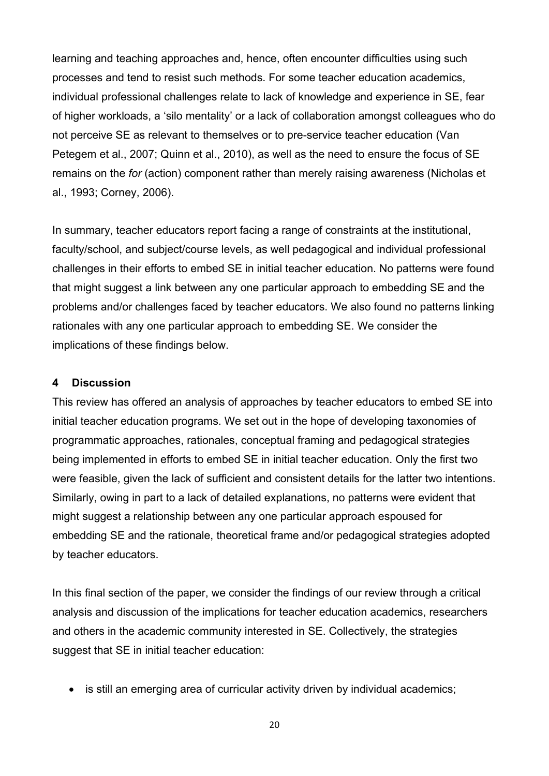learning and teaching approaches and, hence, often encounter difficulties using such processes and tend to resist such methods. For some teacher education academics, individual professional challenges relate to lack of knowledge and experience in SE, fear of higher workloads, a 'silo mentality' or a lack of collaboration amongst colleagues who do not perceive SE as relevant to themselves or to pre-service teacher education (Van Petegem et al., 2007; Quinn et al., 2010), as well as the need to ensure the focus of SE remains on the *for* (action) component rather than merely raising awareness (Nicholas et al., 1993; Corney, 2006).

In summary, teacher educators report facing a range of constraints at the institutional, faculty/school, and subject/course levels, as well pedagogical and individual professional challenges in their efforts to embed SE in initial teacher education. No patterns were found that might suggest a link between any one particular approach to embedding SE and the problems and/or challenges faced by teacher educators. We also found no patterns linking rationales with any one particular approach to embedding SE. We consider the implications of these findings below.

#### **4 Discussion**

This review has offered an analysis of approaches by teacher educators to embed SE into initial teacher education programs. We set out in the hope of developing taxonomies of programmatic approaches, rationales, conceptual framing and pedagogical strategies being implemented in efforts to embed SE in initial teacher education. Only the first two were feasible, given the lack of sufficient and consistent details for the latter two intentions. Similarly, owing in part to a lack of detailed explanations, no patterns were evident that might suggest a relationship between any one particular approach espoused for embedding SE and the rationale, theoretical frame and/or pedagogical strategies adopted by teacher educators.

In this final section of the paper, we consider the findings of our review through a critical analysis and discussion of the implications for teacher education academics, researchers and others in the academic community interested in SE. Collectively, the strategies suggest that SE in initial teacher education:

• is still an emerging area of curricular activity driven by individual academics;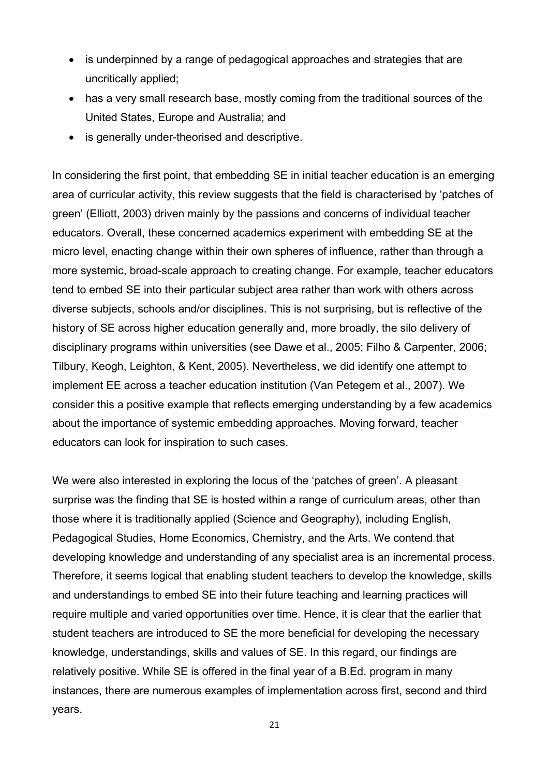- is underpinned by a range of pedagogical approaches and strategies that are uncritically applied;
- has a very small research base, mostly coming from the traditional sources of the United States, Europe and Australia; and
- is generally under-theorised and descriptive.

In considering the first point, that embedding SE in initial teacher education is an emerging area of curricular activity, this review suggests that the field is characterised by 'patches of green' (Elliott, 2003) driven mainly by the passions and concerns of individual teacher educators. Overall, these concerned academics experiment with embedding SE at the micro level, enacting change within their own spheres of influence, rather than through a more systemic, broad-scale approach to creating change. For example, teacher educators tend to embed SE into their particular subject area rather than work with others across diverse subjects, schools and/or disciplines. This is not surprising, but is reflective of the history of SE across higher education generally and, more broadly, the silo delivery of disciplinary programs within universities (see Dawe et al., 2005; Filho & Carpenter, 2006; Tilbury, Keogh, Leighton, & Kent, 2005). Nevertheless, we did identify one attempt to implement EE across a teacher education institution (Van Petegem et al., 2007). We consider this a positive example that reflects emerging understanding by a few academics about the importance of systemic embedding approaches. Moving forward, teacher educators can look for inspiration to such cases.

We were also interested in exploring the locus of the 'patches of green'. A pleasant surprise was the finding that SE is hosted within a range of curriculum areas, other than those where it is traditionally applied (Science and Geography), including English, Pedagogical Studies, Home Economics, Chemistry, and the Arts. We contend that developing knowledge and understanding of any specialist area is an incremental process. Therefore, it seems logical that enabling student teachers to develop the knowledge, skills and understandings to embed SE into their future teaching and learning practices will require multiple and varied opportunities over time. Hence, it is clear that the earlier that student teachers are introduced to SE the more beneficial for developing the necessary knowledge, understandings, skills and values of SE. In this regard, our findings are relatively positive. While SE is offered in the final year of a B.Ed. program in many instances, there are numerous examples of implementation across first, second and third years.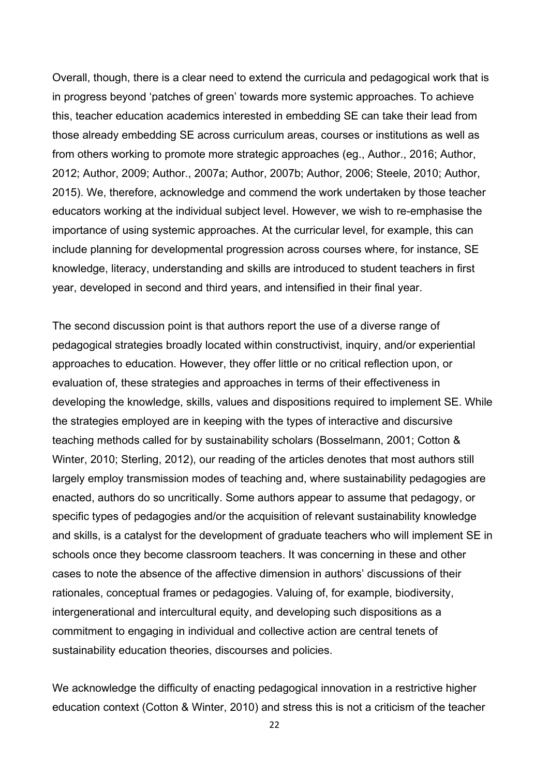Overall, though, there is a clear need to extend the curricula and pedagogical work that is in progress beyond 'patches of green' towards more systemic approaches. To achieve this, teacher education academics interested in embedding SE can take their lead from those already embedding SE across curriculum areas, courses or institutions as well as from others working to promote more strategic approaches (eg., Author., 2016; Author, 2012; Author, 2009; Author., 2007a; Author, 2007b; Author, 2006; Steele, 2010; Author, 2015). We, therefore, acknowledge and commend the work undertaken by those teacher educators working at the individual subject level. However, we wish to re-emphasise the importance of using systemic approaches. At the curricular level, for example, this can include planning for developmental progression across courses where, for instance, SE knowledge, literacy, understanding and skills are introduced to student teachers in first year, developed in second and third years, and intensified in their final year.

The second discussion point is that authors report the use of a diverse range of pedagogical strategies broadly located within constructivist, inquiry, and/or experiential approaches to education. However, they offer little or no critical reflection upon, or evaluation of, these strategies and approaches in terms of their effectiveness in developing the knowledge, skills, values and dispositions required to implement SE. While the strategies employed are in keeping with the types of interactive and discursive teaching methods called for by sustainability scholars (Bosselmann, 2001; Cotton & Winter, 2010; Sterling, 2012), our reading of the articles denotes that most authors still largely employ transmission modes of teaching and, where sustainability pedagogies are enacted, authors do so uncritically. Some authors appear to assume that pedagogy, or specific types of pedagogies and/or the acquisition of relevant sustainability knowledge and skills, is a catalyst for the development of graduate teachers who will implement SE in schools once they become classroom teachers. It was concerning in these and other cases to note the absence of the affective dimension in authors' discussions of their rationales, conceptual frames or pedagogies. Valuing of, for example, biodiversity, intergenerational and intercultural equity, and developing such dispositions as a commitment to engaging in individual and collective action are central tenets of sustainability education theories, discourses and policies.

We acknowledge the difficulty of enacting pedagogical innovation in a restrictive higher education context (Cotton & Winter, 2010) and stress this is not a criticism of the teacher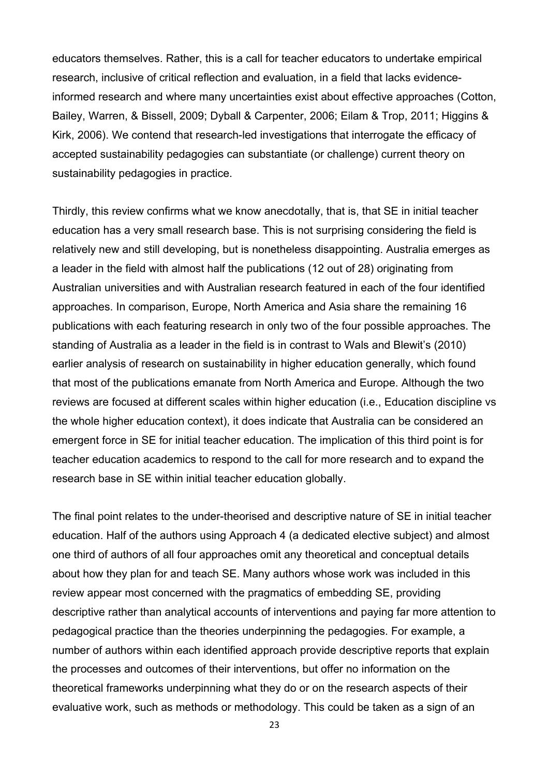educators themselves. Rather, this is a call for teacher educators to undertake empirical research, inclusive of critical reflection and evaluation, in a field that lacks evidenceinformed research and where many uncertainties exist about effective approaches (Cotton, Bailey, Warren, & Bissell, 2009; Dyball & Carpenter, 2006; Eilam & Trop, 2011; Higgins & Kirk, 2006). We contend that research-led investigations that interrogate the efficacy of accepted sustainability pedagogies can substantiate (or challenge) current theory on sustainability pedagogies in practice.

Thirdly, this review confirms what we know anecdotally, that is, that SE in initial teacher education has a very small research base. This is not surprising considering the field is relatively new and still developing, but is nonetheless disappointing. Australia emerges as a leader in the field with almost half the publications (12 out of 28) originating from Australian universities and with Australian research featured in each of the four identified approaches. In comparison, Europe, North America and Asia share the remaining 16 publications with each featuring research in only two of the four possible approaches. The standing of Australia as a leader in the field is in contrast to Wals and Blewit's (2010) earlier analysis of research on sustainability in higher education generally, which found that most of the publications emanate from North America and Europe. Although the two reviews are focused at different scales within higher education (i.e., Education discipline vs the whole higher education context), it does indicate that Australia can be considered an emergent force in SE for initial teacher education. The implication of this third point is for teacher education academics to respond to the call for more research and to expand the research base in SE within initial teacher education globally.

The final point relates to the under-theorised and descriptive nature of SE in initial teacher education. Half of the authors using Approach 4 (a dedicated elective subject) and almost one third of authors of all four approaches omit any theoretical and conceptual details about how they plan for and teach SE. Many authors whose work was included in this review appear most concerned with the pragmatics of embedding SE, providing descriptive rather than analytical accounts of interventions and paying far more attention to pedagogical practice than the theories underpinning the pedagogies. For example, a number of authors within each identified approach provide descriptive reports that explain the processes and outcomes of their interventions, but offer no information on the theoretical frameworks underpinning what they do or on the research aspects of their evaluative work, such as methods or methodology. This could be taken as a sign of an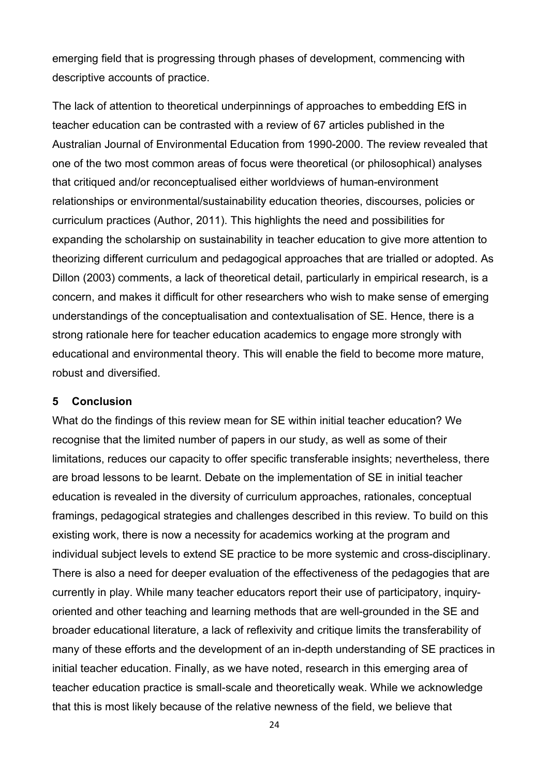emerging field that is progressing through phases of development, commencing with descriptive accounts of practice.

The lack of attention to theoretical underpinnings of approaches to embedding EfS in teacher education can be contrasted with a review of 67 articles published in the Australian Journal of Environmental Education from 1990-2000. The review revealed that one of the two most common areas of focus were theoretical (or philosophical) analyses that critiqued and/or reconceptualised either worldviews of human-environment relationships or environmental/sustainability education theories, discourses, policies or curriculum practices (Author, 2011). This highlights the need and possibilities for expanding the scholarship on sustainability in teacher education to give more attention to theorizing different curriculum and pedagogical approaches that are trialled or adopted. As Dillon (2003) comments, a lack of theoretical detail, particularly in empirical research, is a concern, and makes it difficult for other researchers who wish to make sense of emerging understandings of the conceptualisation and contextualisation of SE. Hence, there is a strong rationale here for teacher education academics to engage more strongly with educational and environmental theory. This will enable the field to become more mature, robust and diversified.

### **5 Conclusion**

What do the findings of this review mean for SE within initial teacher education? We recognise that the limited number of papers in our study, as well as some of their limitations, reduces our capacity to offer specific transferable insights; nevertheless, there are broad lessons to be learnt. Debate on the implementation of SE in initial teacher education is revealed in the diversity of curriculum approaches, rationales, conceptual framings, pedagogical strategies and challenges described in this review. To build on this existing work, there is now a necessity for academics working at the program and individual subject levels to extend SE practice to be more systemic and cross-disciplinary. There is also a need for deeper evaluation of the effectiveness of the pedagogies that are currently in play. While many teacher educators report their use of participatory, inquiryoriented and other teaching and learning methods that are well-grounded in the SE and broader educational literature, a lack of reflexivity and critique limits the transferability of many of these efforts and the development of an in-depth understanding of SE practices in initial teacher education. Finally, as we have noted, research in this emerging area of teacher education practice is small-scale and theoretically weak. While we acknowledge that this is most likely because of the relative newness of the field, we believe that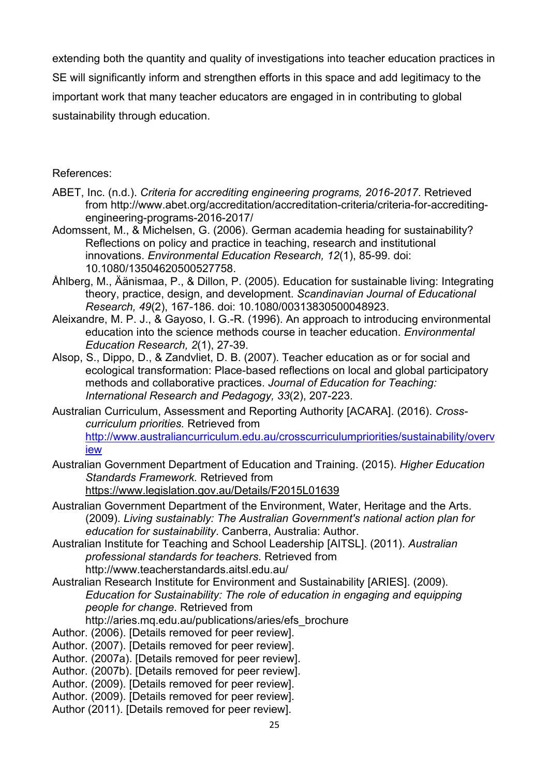extending both the quantity and quality of investigations into teacher education practices in SE will significantly inform and strengthen efforts in this space and add legitimacy to the important work that many teacher educators are engaged in in contributing to global sustainability through education.

# References:

- ABET, Inc. (n.d.). *Criteria for accrediting engineering programs, 2016-2017*. Retrieved from http://www.abet.org/accreditation/accreditation-criteria/criteria-for-accreditingengineering-programs-2016-2017/
- Adomssent, M., & Michelsen, G. (2006). German academia heading for sustainability? Reflections on policy and practice in teaching, research and institutional innovations. *Environmental Education Research, 12*(1), 85-99. doi: 10.1080/13504620500527758.
- Åhlberg, M., Äänismaa, P., & Dillon, P. (2005). Education for sustainable living: Integrating theory, practice, design, and development. *Scandinavian Journal of Educational Research, 49*(2), 167-186. doi: 10.1080/00313830500048923.
- Aleixandre, M. P. J., & Gayoso, I. G.-R. (1996). An approach to introducing environmental education into the science methods course in teacher education. *Environmental Education Research, 2*(1), 27-39.
- Alsop, S., Dippo, D., & Zandvliet, D. B. (2007). Teacher education as or for social and ecological transformation: Place-based reflections on local and global participatory methods and collaborative practices. *Journal of Education for Teaching: International Research and Pedagogy, 33*(2), 207-223.
- Australian Curriculum, Assessment and Reporting Authority [ACARA]. (2016). *Crosscurriculum priorities.* Retrieved from [http://www.australiancurriculum.edu.au/crosscurriculumpriorities/sustainability/overv](http://www.australiancurriculum.edu.au/crosscurriculumpriorities/sustainability/overview) [iew](http://www.australiancurriculum.edu.au/crosscurriculumpriorities/sustainability/overview)
- Australian Government Department of Education and Training. (2015). *Higher Education Standards Framework.* Retrieved from <https://www.legislation.gov.au/Details/F2015L01639>
- Australian Government Department of the Environment, Water, Heritage and the Arts. (2009). *Living sustainably: The Australian Government's national action plan for education for sustainability*. Canberra, Australia: Author.
- Australian Institute for Teaching and School Leadership [AITSL]. (2011). *Australian professional standards for teachers*. Retrieved from http://www.teacherstandards.aitsl.edu.au/
- Australian Research Institute for Environment and Sustainability [ARIES]. (2009). *Education for Sustainability: The role of education in engaging and equipping people for change*. Retrieved from
	- http://aries.mq.edu.au/publications/aries/efs\_brochure
- Author. (2006). [Details removed for peer review].
- Author. (2007). [Details removed for peer review].
- Author. (2007a). [Details removed for peer review].
- Author. (2007b). [Details removed for peer review].
- Author. (2009). [Details removed for peer review].
- Author. (2009). [Details removed for peer review].
- Author (2011). [Details removed for peer review].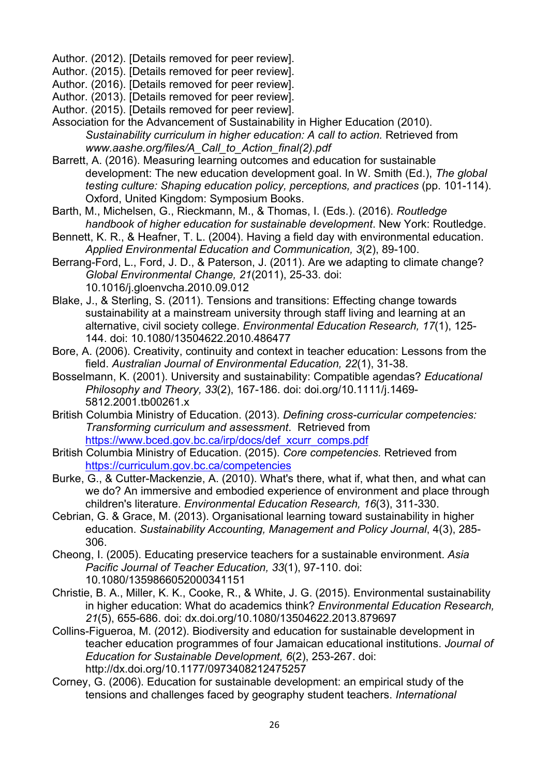Author. (2012). [Details removed for peer review].

Author. (2015). [Details removed for peer review].

Author. (2016). [Details removed for peer review].

Author. (2013). [Details removed for peer review].

- Author. (2015). [Details removed for peer review].
- Association for the Advancement of Sustainability in Higher Education (2010). *Sustainability curriculum in higher education: A call to action.* Retrieved from *www.aashe.org/files/A\_Call\_to\_Action\_final(2).pdf*
- Barrett, A. (2016). Measuring learning outcomes and education for sustainable development: The new education development goal. In W. Smith (Ed.), *The global testing culture: Shaping education policy, perceptions, and practices* (pp. 101-114). Oxford, United Kingdom: Symposium Books.
- Barth, M., Michelsen, G., Rieckmann, M., & Thomas, I. (Eds.). (2016). *Routledge handbook of higher education for sustainable development*. New York: Routledge.
- Bennett, K. R., & Heafner, T. L. (2004). Having a field day with environmental education. *Applied Environmental Education and Communication, 3*(2), 89-100.
- Berrang-Ford, L., Ford, J. D., & Paterson, J. (2011). Are we adapting to climate change? *Global Environmental Change, 21*(2011), 25-33. doi: 10.1016/j.gloenvcha.2010.09.012
- Blake, J., & Sterling, S. (2011). Tensions and transitions: Effecting change towards sustainability at a mainstream university through staff living and learning at an alternative, civil society college. *Environmental Education Research, 17*(1), 125- 144. doi: 10.1080/13504622.2010.486477
- Bore, A. (2006). Creativity, continuity and context in teacher education: Lessons from the field. *Australian Journal of Environmental Education, 22*(1), 31-38.
- Bosselmann, K. (2001). University and sustainability: Compatible agendas? *Educational Philosophy and Theory, 33*(2), 167-186. doi: doi.org/10.1111/j.1469- 5812.2001.tb00261.x
- British Columbia Ministry of Education. (2013). *Defining cross-curricular competencies: Transforming curriculum and assessment*. Retrieved from [https://www.bced.gov.bc.ca/irp/docs/def\\_xcurr\\_comps.pdf](https://www.bced.gov.bc.ca/irp/docs/def_xcurr_comps.pdf)
- British Columbia Ministry of Education. (2015). *Core competencies.* Retrieved from <https://curriculum.gov.bc.ca/competencies>
- Burke, G., & Cutter-Mackenzie, A. (2010). What's there, what if, what then, and what can we do? An immersive and embodied experience of environment and place through children's literature. *Environmental Education Research, 16*(3), 311-330.
- Cebrian, G. & Grace, M. (2013). Organisational learning toward sustainability in higher education. *Sustainability Accounting, Management and Policy Journal*, 4(3), 285- 306.
- Cheong, I. (2005). Educating preservice teachers for a sustainable environment. *Asia Pacific Journal of Teacher Education, 33*(1), 97-110. doi: 10.1080/1359866052000341151
- Christie, B. A., Miller, K. K., Cooke, R., & White, J. G. (2015). Environmental sustainability in higher education: What do academics think? *Environmental Education Research, 21*(5), 655-686. doi: dx.doi.org/10.1080/13504622.2013.879697
- Collins-Figueroa, M. (2012). Biodiversity and education for sustainable development in teacher education programmes of four Jamaican educational institutions. *Journal of Education for Sustainable Development, 6*(2), 253-267. doi: http://dx.doi.org/10.1177/0973408212475257
- Corney, G. (2006). Education for sustainable development: an empirical study of the tensions and challenges faced by geography student teachers. *International*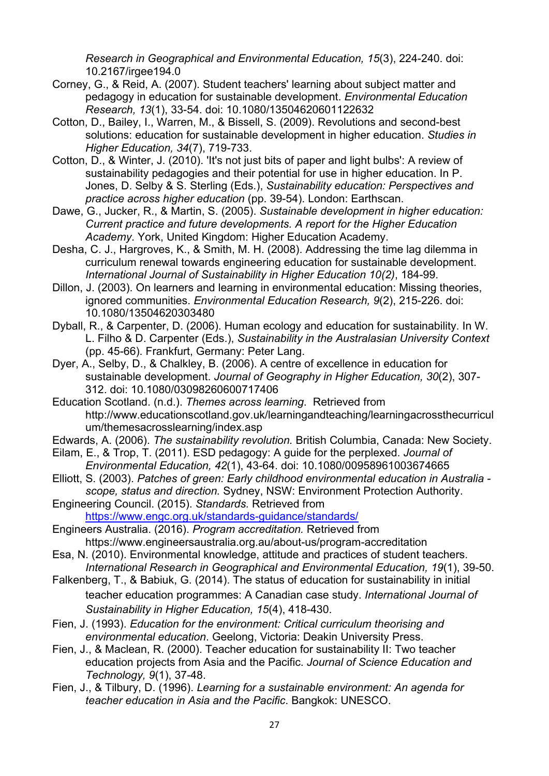*Research in Geographical and Environmental Education, 15*(3), 224-240. doi: 10.2167/irgee194.0

- Corney, G., & Reid, A. (2007). Student teachers' learning about subject matter and pedagogy in education for sustainable development. *Environmental Education Research, 13*(1), 33-54. doi: 10.1080/13504620601122632
- Cotton, D., Bailey, I., Warren, M., & Bissell, S. (2009). Revolutions and second-best solutions: education for sustainable development in higher education. *Studies in Higher Education, 34*(7), 719-733.
- Cotton, D., & Winter, J. (2010). 'It's not just bits of paper and light bulbs': A review of sustainability pedagogies and their potential for use in higher education. In P. Jones, D. Selby & S. Sterling (Eds.), *Sustainability education: Perspectives and practice across higher education* (pp. 39-54). London: Earthscan.
- Dawe, G., Jucker, R., & Martin, S. (2005). *Sustainable development in higher education: Current practice and future developments. A report for the Higher Education Academy*. York, United Kingdom: Higher Education Academy.
- Desha, C. J., Hargroves, K., & Smith, M. H. (2008). Addressing the time lag dilemma in curriculum renewal towards engineering education for sustainable development. *International Journal of Sustainability in Higher Education 10(2)*, 184-99.
- Dillon, J. (2003). On learners and learning in environmental education: Missing theories, ignored communities. *Environmental Education Research, 9*(2), 215-226. doi: 10.1080/13504620303480
- Dyball, R., & Carpenter, D. (2006). Human ecology and education for sustainability. In W. L. Filho & D. Carpenter (Eds.), *Sustainability in the Australasian University Context* (pp. 45-66). Frankfurt, Germany: Peter Lang.
- Dyer, A., Selby, D., & Chalkley, B. (2006). A centre of excellence in education for sustainable development. *Journal of Geography in Higher Education, 30*(2), 307- 312. doi: 10.1080/03098260600717406
- Education Scotland. (n.d.). *Themes across learning*. Retrieved from http://www.educationscotland.gov.uk/learningandteaching/learningacrossthecurricul um/themesacrosslearning/index.asp
- Edwards, A. (2006). *The sustainability revolution.* British Columbia, Canada: New Society.
- Eilam, E., & Trop, T. (2011). ESD pedagogy: A guide for the perplexed. *Journal of Environmental Education, 42*(1), 43-64. doi: 10.1080/00958961003674665
- Elliott, S. (2003). *Patches of green: Early childhood environmental education in Australia scope, status and direction.* Sydney, NSW: Environment Protection Authority.
- Engineering Council. (2015). *Standards.* Retrieved from <https://www.engc.org.uk/standards-guidance/standards/>
- Engineers Australia. (2016). *Program accreditation.* Retrieved from https://www.engineersaustralia.org.au/about-us/program-accreditation
- Esa, N. (2010). Environmental knowledge, attitude and practices of student teachers. *International Research in Geographical and Environmental Education, 19*(1), 39-50.
- Falkenberg, T., & Babiuk, G. (2014). The status of education for sustainability in initial teacher education programmes: A Canadian case study. *International Journal of Sustainability in Higher Education, 15*(4), 418-430.
- Fien, J. (1993). *Education for the environment: Critical curriculum theorising and environmental education*. Geelong, Victoria: Deakin University Press.
- Fien, J., & Maclean, R. (2000). Teacher education for sustainability II: Two teacher education projects from Asia and the Pacific. *Journal of Science Education and Technology, 9*(1), 37-48.
- Fien, J., & Tilbury, D. (1996). *Learning for a sustainable environment: An agenda for teacher education in Asia and the Pacific*. Bangkok: UNESCO.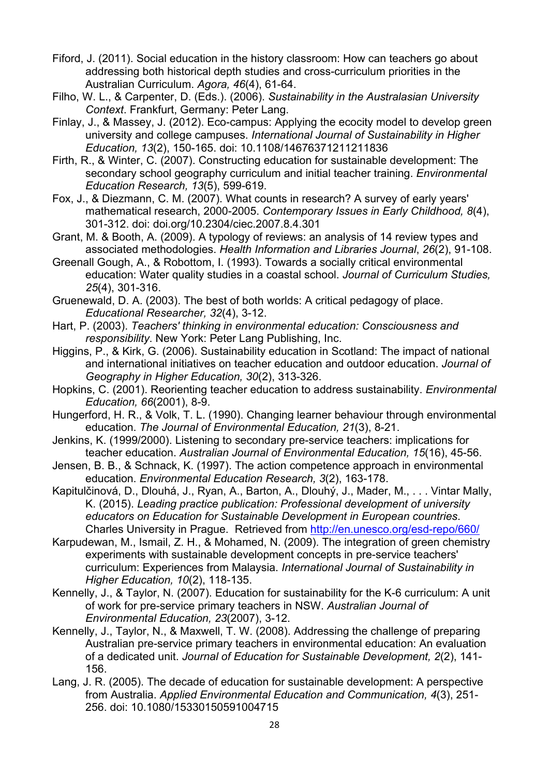- Fiford, J. (2011). Social education in the history classroom: How can teachers go about addressing both historical depth studies and cross-curriculum priorities in the Australian Curriculum. *Agora, 46*(4), 61-64.
- Filho, W. L., & Carpenter, D. (Eds.). (2006). *Sustainability in the Australasian University Context*. Frankfurt, Germany: Peter Lang.
- Finlay, J., & Massey, J. (2012). Eco-campus: Applying the ecocity model to develop green university and college campuses. *International Journal of Sustainability in Higher Education, 13*(2), 150-165. doi: 10.1108/14676371211211836
- Firth, R., & Winter, C. (2007). Constructing education for sustainable development: The secondary school geography curriculum and initial teacher training. *Environmental Education Research, 13*(5), 599-619.
- Fox, J., & Diezmann, C. M. (2007). What counts in research? A survey of early years' mathematical research, 2000-2005. *Contemporary Issues in Early Childhood, 8*(4), 301-312. doi: doi.org/10.2304/ciec.2007.8.4.301
- Grant, M. & Booth, A. (2009). A typology of reviews: an analysis of 14 review types and associated methodologies. *Health Information and Libraries Journal*, *26*(2), 91-108.
- Greenall Gough, A., & Robottom, I. (1993). Towards a socially critical environmental education: Water quality studies in a coastal school. *Journal of Curriculum Studies, 25*(4), 301-316.
- Gruenewald, D. A. (2003). The best of both worlds: A critical pedagogy of place. *Educational Researcher, 32*(4), 3-12.
- Hart, P. (2003). *Teachers' thinking in environmental education: Consciousness and responsibility*. New York: Peter Lang Publishing, Inc.
- Higgins, P., & Kirk, G. (2006). Sustainability education in Scotland: The impact of national and international initiatives on teacher education and outdoor education. *Journal of Geography in Higher Education, 30*(2), 313-326.
- Hopkins, C. (2001). Reorienting teacher education to address sustainability. *Environmental Education, 66*(2001), 8-9.
- Hungerford, H. R., & Volk, T. L. (1990). Changing learner behaviour through environmental education. *The Journal of Environmental Education, 21*(3), 8-21.
- Jenkins, K. (1999/2000). Listening to secondary pre-service teachers: implications for teacher education. *Australian Journal of Environmental Education, 15*(16), 45-56.
- Jensen, B. B., & Schnack, K. (1997). The action competence approach in environmental education. *Environmental Education Research, 3*(2), 163-178.
- Kapitulčinová, D., Dlouhá, J., Ryan, A., Barton, A., Dlouhý, J., Mader, M., . . . Vintar Mally, K. (2015). *Leading practice publication: Professional development of university educators on Education for Sustainable Development in European countries*. Charles University in Prague. Retrieved from<http://en.unesco.org/esd-repo/660/>
- Karpudewan, M., Ismail, Z. H., & Mohamed, N. (2009). The integration of green chemistry experiments with sustainable development concepts in pre-service teachers' curriculum: Experiences from Malaysia. *International Journal of Sustainability in Higher Education, 10*(2), 118-135.
- Kennelly, J., & Taylor, N. (2007). Education for sustainability for the K-6 curriculum: A unit of work for pre-service primary teachers in NSW. *Australian Journal of Environmental Education, 23*(2007), 3-12.
- Kennelly, J., Taylor, N., & Maxwell, T. W. (2008). Addressing the challenge of preparing Australian pre-service primary teachers in environmental education: An evaluation of a dedicated unit. *Journal of Education for Sustainable Development, 2*(2), 141- 156.
- Lang, J. R. (2005). The decade of education for sustainable development: A perspective from Australia. *Applied Environmental Education and Communication, 4*(3), 251- 256. doi: 10.1080/15330150591004715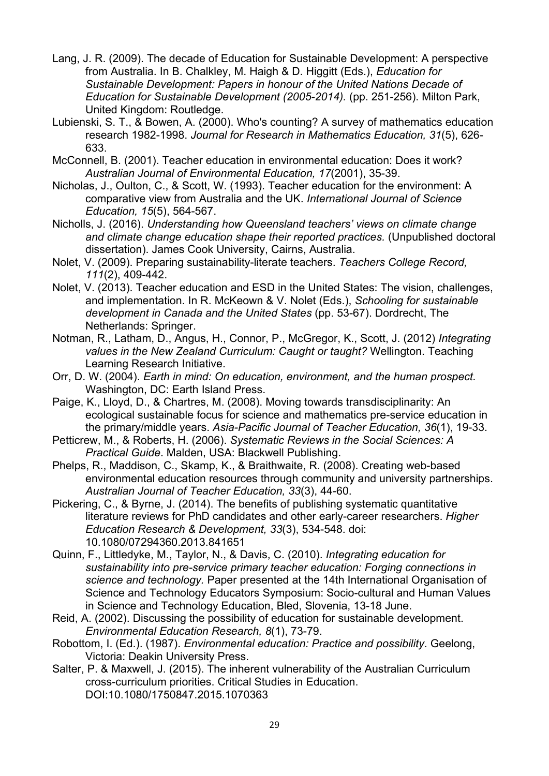- Lang, J. R. (2009). The decade of Education for Sustainable Development: A perspective from Australia. In B. Chalkley, M. Haigh & D. Higgitt (Eds.), *Education for Sustainable Development: Papers in honour of the United Nations Decade of Education for Sustainable Development (2005-2014).* (pp. 251-256). Milton Park, United Kingdom: Routledge.
- Lubienski, S. T., & Bowen, A. (2000). Who's counting? A survey of mathematics education research 1982-1998. *Journal for Research in Mathematics Education, 31*(5), 626- 633.
- McConnell, B. (2001). Teacher education in environmental education: Does it work? *Australian Journal of Environmental Education, 17*(2001), 35-39.
- Nicholas, J., Oulton, C., & Scott, W. (1993). Teacher education for the environment: A comparative view from Australia and the UK. *International Journal of Science Education, 15*(5), 564-567.
- Nicholls, J. (2016). *Understanding how Queensland teachers' views on climate change and climate change education shape their reported practices.* (Unpublished doctoral dissertation). James Cook University, Cairns, Australia.
- Nolet, V. (2009). Preparing sustainability-literate teachers. *Teachers College Record, 111*(2), 409-442.
- Nolet, V. (2013). Teacher education and ESD in the United States: The vision, challenges, and implementation. In R. McKeown & V. Nolet (Eds.), *Schooling for sustainable development in Canada and the United States* (pp. 53-67). Dordrecht, The Netherlands: Springer.
- Notman, R., Latham, D., Angus, H., Connor, P., McGregor, K., Scott, J. (2012) *Integrating values in the New Zealand Curriculum: Caught or taught?* Wellington. Teaching Learning Research Initiative.
- Orr, D. W. (2004). *Earth in mind: On education, environment, and the human prospect.* Washington, DC: Earth Island Press.
- Paige, K., Lloyd, D., & Chartres, M. (2008). Moving towards transdisciplinarity: An ecological sustainable focus for science and mathematics pre-service education in the primary/middle years. *Asia-Pacific Journal of Teacher Education, 36*(1), 19-33.
- Petticrew, M., & Roberts, H. (2006). *Systematic Reviews in the Social Sciences: A Practical Guide*. Malden, USA: Blackwell Publishing.
- Phelps, R., Maddison, C., Skamp, K., & Braithwaite, R. (2008). Creating web-based environmental education resources through community and university partnerships. *Australian Journal of Teacher Education, 33*(3), 44-60.
- Pickering, C., & Byrne, J. (2014). The benefits of publishing systematic quantitative literature reviews for PhD candidates and other early-career researchers. *Higher Education Research & Development, 33*(3), 534-548. doi: 10.1080/07294360.2013.841651
- Quinn, F., Littledyke, M., Taylor, N., & Davis, C. (2010). *Integrating education for sustainability into pre-service primary teacher education: Forging connections in science and technology.* Paper presented at the 14th International Organisation of Science and Technology Educators Symposium: Socio-cultural and Human Values in Science and Technology Education, Bled, Slovenia, 13-18 June.
- Reid, A. (2002). Discussing the possibility of education for sustainable development. *Environmental Education Research, 8*(1), 73-79.
- Robottom, I. (Ed.). (1987). *Environmental education: Practice and possibility*. Geelong, Victoria: Deakin University Press.
- Salter, P. & Maxwell, J. (2015). The inherent vulnerability of the Australian Curriculum cross-curriculum priorities. Critical Studies in Education. DOI:10.1080/1750847.2015.1070363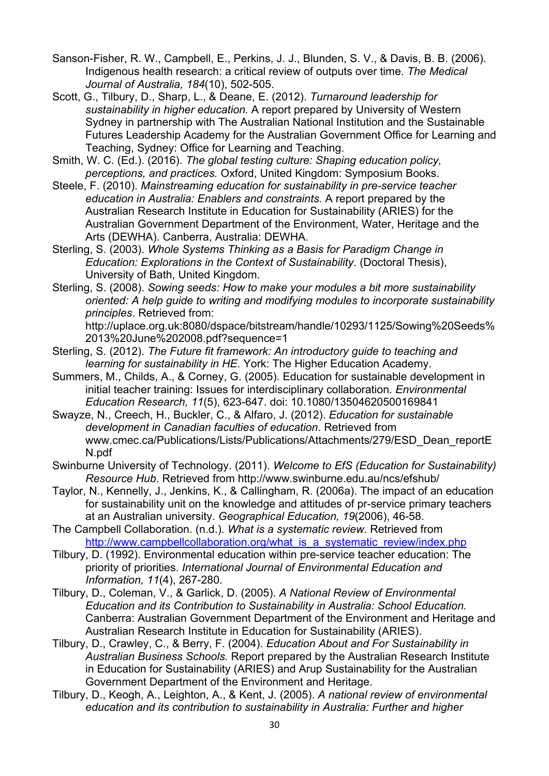- Sanson-Fisher, R. W., Campbell, E., Perkins, J. J., Blunden, S. V., & Davis, B. B. (2006). Indigenous health research: a critical review of outputs over time. *The Medical Journal of Australia, 184*(10), 502-505.
- Scott, G., Tilbury, D., Sharp, L., & Deane, E. (2012). *Turnaround leadership for sustainability in higher education.* A report prepared by University of Western Sydney in partnership with The Australian National Institution and the Sustainable Futures Leadership Academy for the Australian Government Office for Learning and Teaching, Sydney: Office for Learning and Teaching.
- <span id="page-30-0"></span>Smith, W. C. (Ed.). (2016). *The global testing culture: Shaping education policy, perceptions, and practices.* Oxford, United Kingdom: Symposium Books.
- Steele, F. (2010). *Mainstreaming education for sustainability in pre-service teacher education in Australia: Enablers and constraints.* A report prepared by the Australian Research Institute in Education for Sustainability (ARIES) for the Australian Government Department of the Environment, Water, Heritage and the Arts (DEWHA). Canberra, Australia: DEWHA.
- Sterling, S. (2003). *Whole Systems Thinking as a Basis for Paradigm Change in Education: Explorations in the Context of Sustainability.* (Doctoral Thesis), University of Bath, United Kingdom.
- Sterling, S. (2008). *Sowing seeds: How to make your modules a bit more sustainability oriented: A help guide to writing and modifying modules to incorporate sustainability principles*. Retrieved from:

http://uplace.org.uk:8080/dspace/bitstream/handle/10293/1125/Sowing%20Seeds% 2013%20June%202008.pdf?sequence=1

- Sterling, S. (2012). *The Future fit framework: An introductory guide to teaching and learning for sustainability in HE*. York: The Higher Education Academy.
- Summers, M., Childs, A., & Corney, G. (2005). Education for sustainable development in initial teacher training: Issues for interdisciplinary collaboration. *Environmental Education Research, 11*(5), 623-647. doi: 10.1080/13504620500169841
- Swayze, N., Creech, H., Buckler, C., & Alfaro, J. (2012). *Education for sustainable development in Canadian faculties of education*. Retrieved from www.cmec.ca/Publications/Lists/Publications/Attachments/279/ESD\_Dean\_reportE N.pdf
- Swinburne University of Technology. (2011). *Welcome to EfS (Education for Sustainability) Resource Hub*. Retrieved from http://www.swinburne.edu.au/ncs/efshub/
- Taylor, N., Kennelly, J., Jenkins, K., & Callingham, R. (2006a). The impact of an education for sustainability unit on the knowledge and attitudes of pr-service primary teachers at an Australian university. *Geographical Education, 19*(2006), 46-58.
- The Campbell Collaboration. (n.d.). *What is a systematic review*. Retrieved from [http://www.campbellcollaboration.org/what\\_is\\_a\\_systematic\\_review/index.php](http://www.campbellcollaboration.org/what_is_a_systematic_review/index.php)
- Tilbury, D. (1992). Environmental education within pre-service teacher education: The priority of priorities. *International Journal of Environmental Education and Information, 11*(4), 267-280.
- Tilbury, D., Coleman, V., & Garlick, D. (2005). *A National Review of Environmental Education and its Contribution to Sustainability in Australia: School Education.* Canberra: Australian Government Department of the Environment and Heritage and Australian Research Institute in Education for Sustainability (ARIES).
- Tilbury, D., Crawley, C., & Berry, F. (2004). *Education About and For Sustainability in Australian Business Schools.* Report prepared by the Australian Research Institute in Education for Sustainability (ARIES) and Arup Sustainability for the Australian Government Department of the Environment and Heritage.
- Tilbury, D., Keogh, A., Leighton, A., & Kent, J. (2005). *A national review of environmental education and its contribution to sustainability in Australia: Further and higher*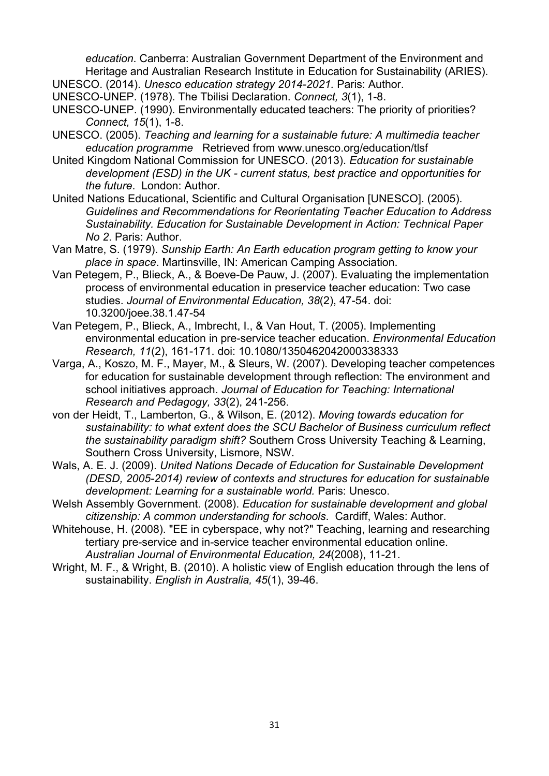*education*. Canberra: Australian Government Department of the Environment and Heritage and Australian Research Institute in Education for Sustainability (ARIES). UNESCO. (2014). *Unesco education strategy 2014-2021.* Paris: Author.

- UNESCO-UNEP. (1978). The Tbilisi Declaration. *Connect, 3*(1), 1-8.
- UNESCO-UNEP. (1990). Environmentally educated teachers: The priority of priorities? *Connect, 15*(1), 1-8.
- UNESCO. (2005). *Teaching and learning for a sustainable future: A multimedia teacher education programme* Retrieved from www.unesco.org/education/tlsf
- United Kingdom National Commission for UNESCO. (2013). *Education for sustainable development (ESD) in the UK - current status, best practice and opportunities for the future*. London: Author.
- United Nations Educational, Scientific and Cultural Organisation [UNESCO]. (2005). *Guidelines and Recommendations for Reorientating Teacher Education to Address Sustainability. Education for Sustainable Development in Action: Technical Paper No 2*. Paris: Author.
- Van Matre, S. (1979). *Sunship Earth: An Earth education program getting to know your place in space*. Martinsville, IN: American Camping Association.
- Van Petegem, P., Blieck, A., & Boeve-De Pauw, J. (2007). Evaluating the implementation process of environmental education in preservice teacher education: Two case studies. *Journal of Environmental Education, 38*(2), 47-54. doi: 10.3200/joee.38.1.47-54
- Van Petegem, P., Blieck, A., Imbrecht, I., & Van Hout, T. (2005). Implementing environmental education in pre-service teacher education. *Environmental Education Research, 11*(2), 161-171. doi: 10.1080/1350462042000338333
- Varga, A., Koszo, M. F., Mayer, M., & Sleurs, W. (2007). Developing teacher competences for education for sustainable development through reflection: The environment and school initiatives approach. *Journal of Education for Teaching: International Research and Pedagogy, 33*(2), 241-256.
- von der Heidt, T., Lamberton, G., & Wilson, E. (2012). *Moving towards education for sustainability: to what extent does the SCU Bachelor of Business curriculum reflect the sustainability paradigm shift?* Southern Cross University Teaching & Learning, Southern Cross University, Lismore, NSW.
- Wals, A. E. J. (2009). *United Nations Decade of Education for Sustainable Development (DESD, 2005-2014) review of contexts and structures for education for sustainable development: Learning for a sustainable world.* Paris: Unesco.
- Welsh Assembly Government. (2008). *Education for sustainable development and global citizenship: A common understanding for schools*. Cardiff, Wales: Author.
- Whitehouse, H. (2008). "EE in cyberspace, why not?" Teaching, learning and researching tertiary pre-service and in-service teacher environmental education online. *Australian Journal of Environmental Education, 24*(2008), 11-21.
- Wright, M. F., & Wright, B. (2010). A holistic view of English education through the lens of sustainability. *English in Australia, 45*(1), 39-46.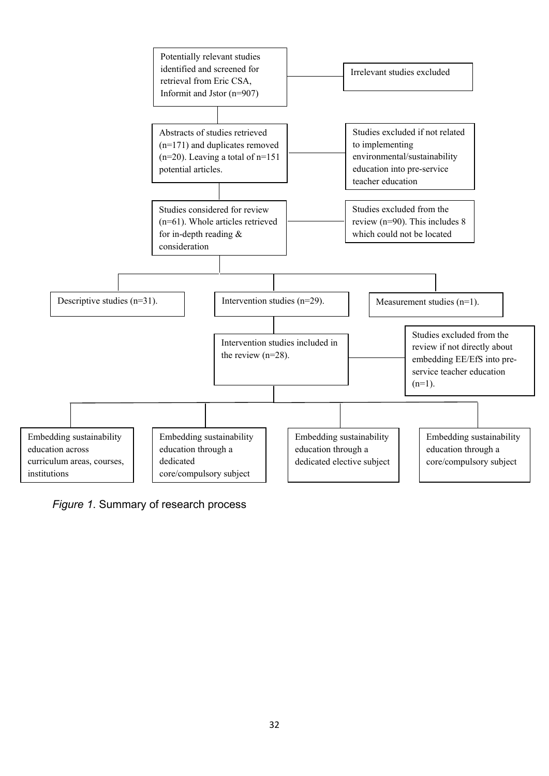

*Figure 1*. Summary of research process